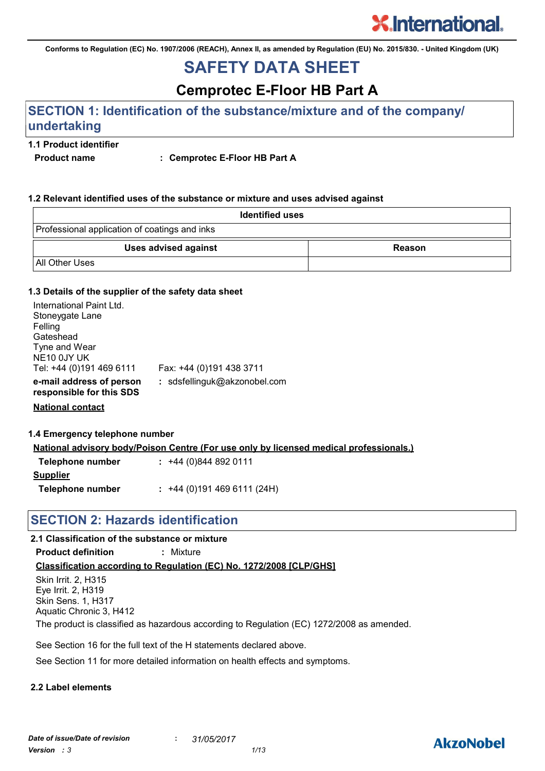**Conforms to Regulation (EC) No. 1907/2006 (REACH), Annex II, as amended by Regulation (EU) No. 2015/830. - United Kingdom (UK)**

## **SAFETY DATA SHEET**

**Cemprotec E-Floor HB Part A**

## **SECTION 1: Identification of the substance/mixture and of the company/ undertaking**

#### **1.1 Product identifier**

**Product name : Cemprotec E-Floor HB Part A**

#### **1.2 Relevant identified uses of the substance or mixture and uses advised against**

| <b>Identified uses</b>                        |        |
|-----------------------------------------------|--------|
| Professional application of coatings and inks |        |
| <b>Uses advised against</b>                   | Reason |
| All Other Uses                                |        |

#### **1.3 Details of the supplier of the safety data sheet**

| International Paint Ltd.<br>Stoneygate Lane<br>Felling<br>Gateshead<br>Tyne and Wear |                              |
|--------------------------------------------------------------------------------------|------------------------------|
| NE10 0JY UK<br>Tel: +44 (0)191 469 6111                                              | Fax: +44 (0)191 438 3711     |
| e-mail address of person<br>responsible for this SDS                                 | : sdsfellinguk@akzonobel.com |
| <b>National contact</b>                                                              |                              |

| 1.4 Emergency telephone number |                                                                                               |  |
|--------------------------------|-----------------------------------------------------------------------------------------------|--|
|                                | <u>National advisory body/Poison Centre (For use only by licensed medical professionals.)</u> |  |
| Telephone number               | $: +44(0)8448920111$                                                                          |  |
| <b>Supplier</b>                |                                                                                               |  |

**Telephone number :** +44 (0)191 469 6111 (24H)

#### **SECTION 2: Hazards identification**

#### **2.1 Classification of the substance or mixture**

**Product definition :** Mixture

#### **Classification according to Regulation (EC) No. 1272/2008 [CLP/GHS]**

Skin Irrit. 2, H315 Eye Irrit. 2, H319 Skin Sens. 1, H317 Aquatic Chronic 3, H412 The product is classified as hazardous according to Regulation (EC) 1272/2008 as amended.

See Section 16 for the full text of the H statements declared above.

See Section 11 for more detailed information on health effects and symptoms.

#### **2.2 Label elements**

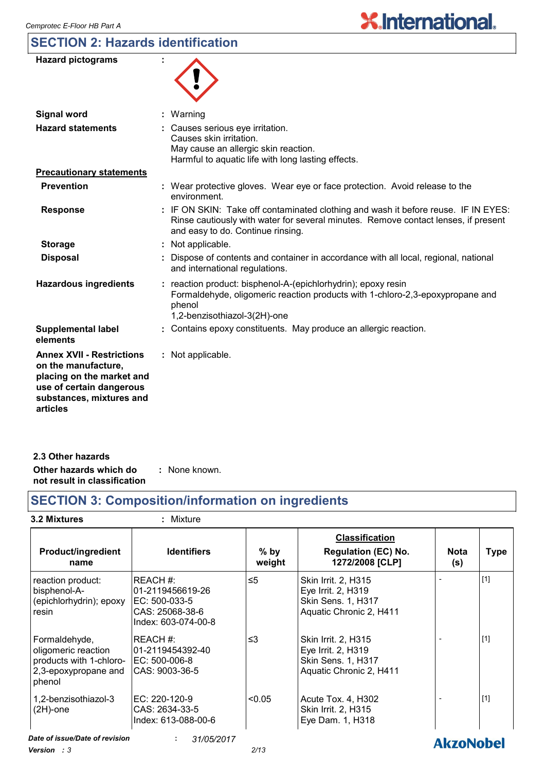## **SECTION 2: Hazards identification**

| <b>Hazard pictograms</b>                                                                                                                                 |                                                                                                                                                                                                               |
|----------------------------------------------------------------------------------------------------------------------------------------------------------|---------------------------------------------------------------------------------------------------------------------------------------------------------------------------------------------------------------|
| <b>Signal word</b>                                                                                                                                       | Warning                                                                                                                                                                                                       |
| <b>Hazard statements</b>                                                                                                                                 | Causes serious eye irritation.<br>Causes skin irritation.<br>May cause an allergic skin reaction.<br>Harmful to aquatic life with long lasting effects.                                                       |
| <b>Precautionary statements</b>                                                                                                                          |                                                                                                                                                                                                               |
| <b>Prevention</b>                                                                                                                                        | : Wear protective gloves. Wear eye or face protection. Avoid release to the<br>environment.                                                                                                                   |
| <b>Response</b>                                                                                                                                          | : IF ON SKIN: Take off contaminated clothing and wash it before reuse. IF IN EYES:<br>Rinse cautiously with water for several minutes. Remove contact lenses, if present<br>and easy to do. Continue rinsing. |
| <b>Storage</b>                                                                                                                                           | : Not applicable.                                                                                                                                                                                             |
| <b>Disposal</b>                                                                                                                                          | Dispose of contents and container in accordance with all local, regional, national<br>and international regulations.                                                                                          |
| <b>Hazardous ingredients</b>                                                                                                                             | reaction product: bisphenol-A-(epichlorhydrin); epoxy resin<br>Formaldehyde, oligomeric reaction products with 1-chloro-2,3-epoxypropane and<br>phenol<br>1,2-benzisothiazol-3(2H)-one                        |
| <b>Supplemental label</b><br>elements                                                                                                                    | : Contains epoxy constituents. May produce an allergic reaction.                                                                                                                                              |
| <b>Annex XVII - Restrictions</b><br>on the manufacture,<br>placing on the market and<br>use of certain dangerous<br>substances, mixtures and<br>articles | : Not applicable.                                                                                                                                                                                             |

**X.International.** 

| 2.3 Other hazards            |               |
|------------------------------|---------------|
| Other hazards which do       | : None known. |
| not result in classification |               |

## **SECTION 3: Composition/information on ingredients**

|  | <b>3.2 Mixtures</b> |  |
|--|---------------------|--|
|  |                     |  |

## **3.2 Mixtures :** Mixture

| <b>Product/ingredient</b><br>name                                                                 | <b>Identifiers</b>                                                                     | $%$ by<br>weight | <b>Classification</b><br><b>Regulation (EC) No.</b><br>1272/2008 [CLP]                            | <b>Nota</b><br>(s) | <b>Type</b> |
|---------------------------------------------------------------------------------------------------|----------------------------------------------------------------------------------------|------------------|---------------------------------------------------------------------------------------------------|--------------------|-------------|
| reaction product:<br>bisphenol-A-<br>(epichlorhydrin); epoxy<br>resin                             | REACH#:<br>01-2119456619-26<br>EC: 500-033-5<br>CAS: 25068-38-6<br>Index: 603-074-00-8 | $\leq 5$         | Skin Irrit. 2, H315<br>Eye Irrit. 2, H319<br><b>Skin Sens. 1, H317</b><br>Aquatic Chronic 2, H411 |                    | $[1]$       |
| Formaldehyde,<br>oligomeric reaction<br>products with 1-chloro-<br>2,3-epoxypropane and<br>phenol | REACH#:<br>01-2119454392-40<br>EC: 500-006-8<br>CAS: 9003-36-5                         | ≤3               | Skin Irrit. 2, H315<br>Eye Irrit. 2, H319<br><b>Skin Sens. 1, H317</b><br>Aquatic Chronic 2, H411 |                    | $[1]$       |
| 1,2-benzisothiazol-3<br>$(2H)$ -one                                                               | EC: 220-120-9<br>CAS: 2634-33-5<br>Index: 613-088-00-6                                 | < 0.05           | Acute Tox. 4, H302<br>Skin Irrit. 2, H315<br>Eye Dam. 1, H318                                     |                    | $[1]$       |
| Date of issue/Date of revision                                                                    | 31/05/2017<br>÷.                                                                       |                  |                                                                                                   | <b>AkzoNobel</b>   |             |

*Version : 3 2/13*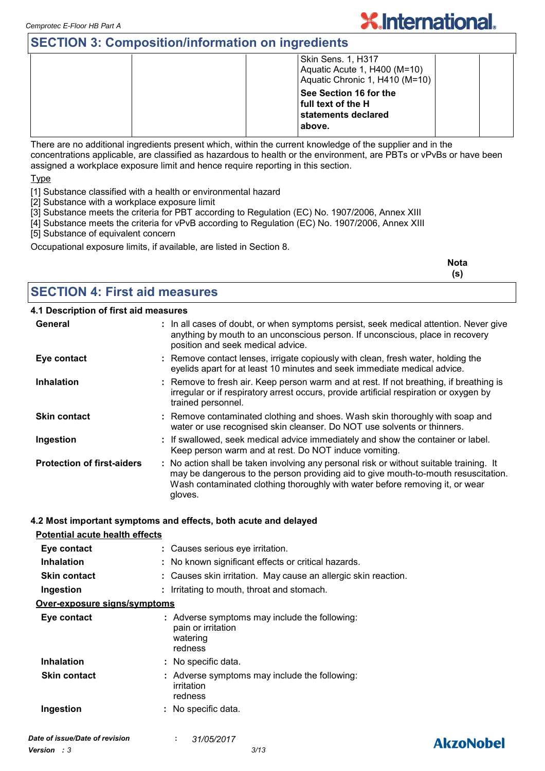## **SECTION 3: Composition/information on ingredients**

| <b>Skin Sens. 1, H317</b><br>Aquatic Acute 1, H400 (M=10)<br>Aquatic Chronic 1, H410 (M=10) |
|---------------------------------------------------------------------------------------------|
| See Section 16 for the<br>  full text of the H<br>statements declared<br>above.             |
|                                                                                             |

**X.International.** 

There are no additional ingredients present which, within the current knowledge of the supplier and in the concentrations applicable, are classified as hazardous to health or the environment, are PBTs or vPvBs or have been assigned a workplace exposure limit and hence require reporting in this section.

**Type** 

- [1] Substance classified with a health or environmental hazard
- [2] Substance with a workplace exposure limit
- [3] Substance meets the criteria for PBT according to Regulation (EC) No. 1907/2006, Annex XIII
- [4] Substance meets the criteria for vPvB according to Regulation (EC) No. 1907/2006, Annex XIII
- [5] Substance of equivalent concern

Occupational exposure limits, if available, are listed in Section 8.

| <b>Nota</b><br>____ |
|---------------------|
|                     |
|                     |

#### **SECTION 4: First aid measures**

#### **4.1 Description of first aid measures**

| . _ _ _ _ _   _  _ _              |                                                                                                                                                                                                                                                                          |
|-----------------------------------|--------------------------------------------------------------------------------------------------------------------------------------------------------------------------------------------------------------------------------------------------------------------------|
| General                           | : In all cases of doubt, or when symptoms persist, seek medical attention. Never give<br>anything by mouth to an unconscious person. If unconscious, place in recovery<br>position and seek medical advice.                                                              |
| Eye contact                       | : Remove contact lenses, irrigate copiously with clean, fresh water, holding the<br>eyelids apart for at least 10 minutes and seek immediate medical advice.                                                                                                             |
| <b>Inhalation</b>                 | : Remove to fresh air. Keep person warm and at rest. If not breathing, if breathing is<br>irregular or if respiratory arrest occurs, provide artificial respiration or oxygen by<br>trained personnel.                                                                   |
| <b>Skin contact</b>               | : Remove contaminated clothing and shoes. Wash skin thoroughly with soap and<br>water or use recognised skin cleanser. Do NOT use solvents or thinners.                                                                                                                  |
| Ingestion                         | : If swallowed, seek medical advice immediately and show the container or label.<br>Keep person warm and at rest. Do NOT induce vomiting.                                                                                                                                |
| <b>Protection of first-aiders</b> | : No action shall be taken involving any personal risk or without suitable training. It<br>may be dangerous to the person providing aid to give mouth-to-mouth resuscitation.<br>Wash contaminated clothing thoroughly with water before removing it, or wear<br>gloves. |

#### **4.2 Most important symptoms and effects, both acute and delayed**

| <b>Potential acute health effects</b> |                                                                                            |
|---------------------------------------|--------------------------------------------------------------------------------------------|
| Eye contact                           | : Causes serious eye irritation.                                                           |
| Inhalation                            | : No known significant effects or critical hazards.                                        |
| <b>Skin contact</b>                   | : Causes skin irritation. May cause an allergic skin reaction.                             |
| Ingestion                             | : Irritating to mouth, throat and stomach.                                                 |
| Over-exposure signs/symptoms          |                                                                                            |
| Eye contact                           | : Adverse symptoms may include the following:<br>pain or irritation<br>watering<br>redness |
| <b>Inhalation</b>                     | : No specific data.                                                                        |
| <b>Skin contact</b>                   | : Adverse symptoms may include the following:<br>irritation<br>redness                     |
| Ingestion                             | : No specific data.                                                                        |

## **AkzoNobel**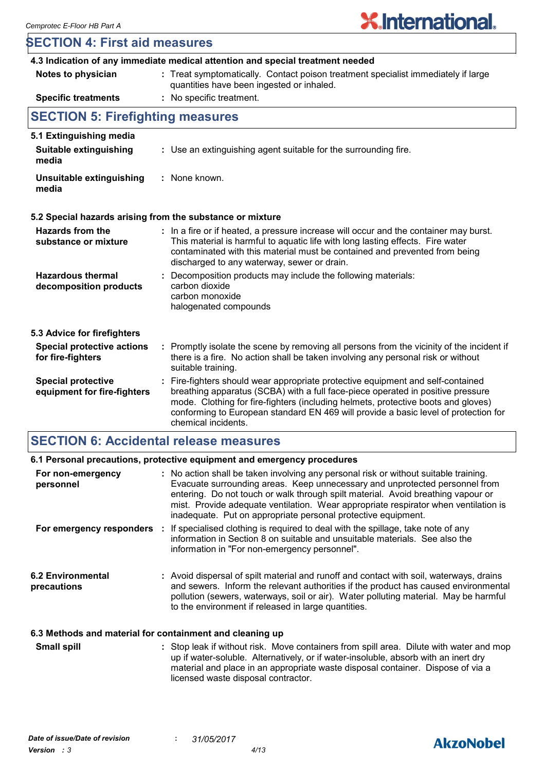| <b>SECTION 4: First aid measures</b>                                           |                                                                                                                                                                                                                                                                                                                                                                       |  |  |  |
|--------------------------------------------------------------------------------|-----------------------------------------------------------------------------------------------------------------------------------------------------------------------------------------------------------------------------------------------------------------------------------------------------------------------------------------------------------------------|--|--|--|
| 4.3 Indication of any immediate medical attention and special treatment needed |                                                                                                                                                                                                                                                                                                                                                                       |  |  |  |
| Notes to physician                                                             | : Treat symptomatically. Contact poison treatment specialist immediately if large<br>quantities have been ingested or inhaled.                                                                                                                                                                                                                                        |  |  |  |
| <b>Specific treatments</b>                                                     | : No specific treatment.                                                                                                                                                                                                                                                                                                                                              |  |  |  |
| <b>SECTION 5: Firefighting measures</b>                                        |                                                                                                                                                                                                                                                                                                                                                                       |  |  |  |
| 5.1 Extinguishing media                                                        |                                                                                                                                                                                                                                                                                                                                                                       |  |  |  |
| <b>Suitable extinguishing</b><br>media                                         | : Use an extinguishing agent suitable for the surrounding fire.                                                                                                                                                                                                                                                                                                       |  |  |  |
| Unsuitable extinguishing<br>media                                              | : None known.                                                                                                                                                                                                                                                                                                                                                         |  |  |  |
|                                                                                | 5.2 Special hazards arising from the substance or mixture                                                                                                                                                                                                                                                                                                             |  |  |  |
| <b>Hazards from the</b><br>substance or mixture                                | : In a fire or if heated, a pressure increase will occur and the container may burst.<br>This material is harmful to aquatic life with long lasting effects. Fire water<br>contaminated with this material must be contained and prevented from being<br>discharged to any waterway, sewer or drain.                                                                  |  |  |  |
| <b>Hazardous thermal</b><br>decomposition products                             | Decomposition products may include the following materials:<br>÷.<br>carbon dioxide<br>carbon monoxide<br>halogenated compounds                                                                                                                                                                                                                                       |  |  |  |
| 5.3 Advice for firefighters                                                    |                                                                                                                                                                                                                                                                                                                                                                       |  |  |  |
| <b>Special protective actions</b><br>for fire-fighters                         | : Promptly isolate the scene by removing all persons from the vicinity of the incident if<br>there is a fire. No action shall be taken involving any personal risk or without<br>suitable training.                                                                                                                                                                   |  |  |  |
| <b>Special protective</b><br>equipment for fire-fighters                       | : Fire-fighters should wear appropriate protective equipment and self-contained<br>breathing apparatus (SCBA) with a full face-piece operated in positive pressure<br>mode. Clothing for fire-fighters (including helmets, protective boots and gloves)<br>conforming to European standard EN 469 will provide a basic level of protection for<br>chemical incidents. |  |  |  |

## **SECTION 6: Accidental release measures**

|                                                          | 6.1 Personal precautions, protective equipment and emergency procedures                                                                                                                                                                                                                                                                                                                                         |
|----------------------------------------------------------|-----------------------------------------------------------------------------------------------------------------------------------------------------------------------------------------------------------------------------------------------------------------------------------------------------------------------------------------------------------------------------------------------------------------|
| For non-emergency<br>personnel                           | : No action shall be taken involving any personal risk or without suitable training.<br>Evacuate surrounding areas. Keep unnecessary and unprotected personnel from<br>entering. Do not touch or walk through spilt material. Avoid breathing vapour or<br>mist. Provide adequate ventilation. Wear appropriate respirator when ventilation is<br>inadequate. Put on appropriate personal protective equipment. |
| For emergency responders                                 | : If specialised clothing is required to deal with the spillage, take note of any<br>information in Section 8 on suitable and unsuitable materials. See also the<br>information in "For non-emergency personnel".                                                                                                                                                                                               |
| <b>6.2 Environmental</b><br>precautions                  | : Avoid dispersal of spilt material and runoff and contact with soil, waterways, drains<br>and sewers. Inform the relevant authorities if the product has caused environmental<br>pollution (sewers, waterways, soil or air). Water polluting material. May be harmful<br>to the environment if released in large quantities.                                                                                   |
| 6.3 Methods and material for containment and cleaning up |                                                                                                                                                                                                                                                                                                                                                                                                                 |

Stop leak if without risk. Move containers from spill area. Dilute with water and mop up if water-soluble. Alternatively, or if water-insoluble, absorb with an inert dry material and place in an appropriate waste disposal container. Dispose of via a licensed waste disposal contractor. **Small spill :**

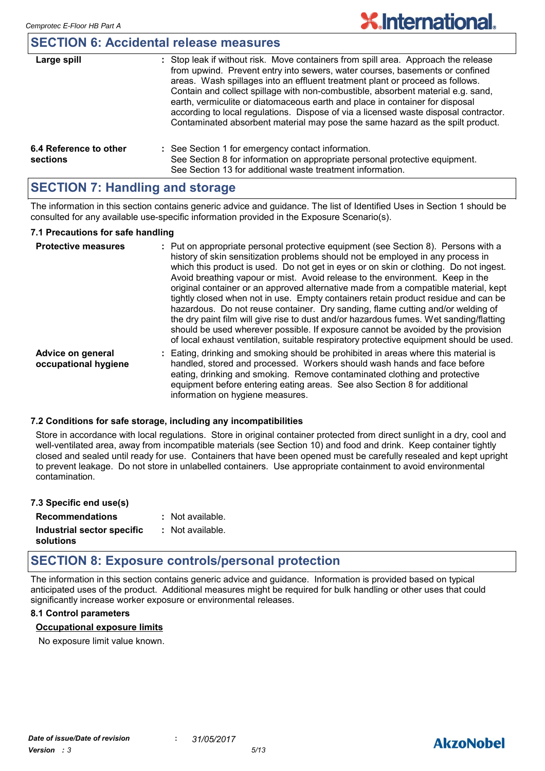#### **SECTION 6: Accidental release measures**

| Large spill                        | : Stop leak if without risk. Move containers from spill area. Approach the release<br>from upwind. Prevent entry into sewers, water courses, basements or confined<br>areas. Wash spillages into an effluent treatment plant or proceed as follows.<br>Contain and collect spillage with non-combustible, absorbent material e.g. sand,<br>earth, vermiculite or diatomaceous earth and place in container for disposal<br>according to local regulations. Dispose of via a licensed waste disposal contractor.<br>Contaminated absorbent material may pose the same hazard as the spilt product. |
|------------------------------------|---------------------------------------------------------------------------------------------------------------------------------------------------------------------------------------------------------------------------------------------------------------------------------------------------------------------------------------------------------------------------------------------------------------------------------------------------------------------------------------------------------------------------------------------------------------------------------------------------|
| 6.4 Reference to other<br>sections | : See Section 1 for emergency contact information.<br>See Section 8 for information on appropriate personal protective equipment.<br>See Section 13 for additional waste treatment information.                                                                                                                                                                                                                                                                                                                                                                                                   |

#### **SECTION 7: Handling and storage**

The information in this section contains generic advice and guidance. The list of Identified Uses in Section 1 should be consulted for any available use-specific information provided in the Exposure Scenario(s).

#### **7.1 Precautions for safe handling**

| <b>Protective measures</b>                | : Put on appropriate personal protective equipment (see Section 8). Persons with a<br>history of skin sensitization problems should not be employed in any process in<br>which this product is used. Do not get in eyes or on skin or clothing. Do not ingest.<br>Avoid breathing vapour or mist. Avoid release to the environment. Keep in the<br>original container or an approved alternative made from a compatible material, kept<br>tightly closed when not in use. Empty containers retain product residue and can be<br>hazardous. Do not reuse container. Dry sanding, flame cutting and/or welding of<br>the dry paint film will give rise to dust and/or hazardous fumes. Wet sanding/flatting<br>should be used wherever possible. If exposure cannot be avoided by the provision<br>of local exhaust ventilation, suitable respiratory protective equipment should be used. |
|-------------------------------------------|------------------------------------------------------------------------------------------------------------------------------------------------------------------------------------------------------------------------------------------------------------------------------------------------------------------------------------------------------------------------------------------------------------------------------------------------------------------------------------------------------------------------------------------------------------------------------------------------------------------------------------------------------------------------------------------------------------------------------------------------------------------------------------------------------------------------------------------------------------------------------------------|
| Advice on general<br>occupational hygiene | : Eating, drinking and smoking should be prohibited in areas where this material is<br>handled, stored and processed. Workers should wash hands and face before<br>eating, drinking and smoking. Remove contaminated clothing and protective<br>equipment before entering eating areas. See also Section 8 for additional<br>information on hygiene measures.                                                                                                                                                                                                                                                                                                                                                                                                                                                                                                                            |

#### **7.2 Conditions for safe storage, including any incompatibilities**

Store in accordance with local regulations. Store in original container protected from direct sunlight in a dry, cool and well-ventilated area, away from incompatible materials (see Section 10) and food and drink. Keep container tightly closed and sealed until ready for use. Containers that have been opened must be carefully resealed and kept upright to prevent leakage. Do not store in unlabelled containers. Use appropriate containment to avoid environmental contamination.

| 7.3 Specific end use(s)    |                  |
|----------------------------|------------------|
| <b>Recommendations</b>     | : Not available. |
| Industrial sector specific | : Not available. |
| solutions                  |                  |

## **SECTION 8: Exposure controls/personal protection**

The information in this section contains generic advice and guidance. Information is provided based on typical anticipated uses of the product. Additional measures might be required for bulk handling or other uses that could significantly increase worker exposure or environmental releases.

#### **8.1 Control parameters**

#### **Occupational exposure limits**

No exposure limit value known.

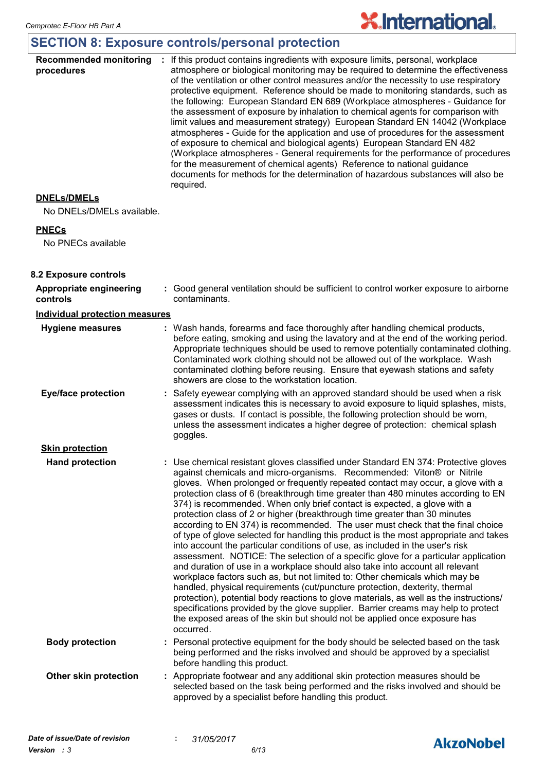## **SECTION 8: Exposure controls/personal protection**

| <b>Recommended monitoring</b><br>procedures | If this product contains ingredients with exposure limits, personal, workplace<br>atmosphere or biological monitoring may be required to determine the effectiveness<br>of the ventilation or other control measures and/or the necessity to use respiratory<br>protective equipment. Reference should be made to monitoring standards, such as<br>the following: European Standard EN 689 (Workplace atmospheres - Guidance for<br>the assessment of exposure by inhalation to chemical agents for comparison with<br>limit values and measurement strategy) European Standard EN 14042 (Workplace<br>atmospheres - Guide for the application and use of procedures for the assessment<br>of exposure to chemical and biological agents) European Standard EN 482<br>(Workplace atmospheres - General requirements for the performance of procedures<br>for the measurement of chemical agents) Reference to national guidance<br>documents for methods for the determination of hazardous substances will also be<br>required.                                                                                                                                                                                                                                                                                                                                         |
|---------------------------------------------|--------------------------------------------------------------------------------------------------------------------------------------------------------------------------------------------------------------------------------------------------------------------------------------------------------------------------------------------------------------------------------------------------------------------------------------------------------------------------------------------------------------------------------------------------------------------------------------------------------------------------------------------------------------------------------------------------------------------------------------------------------------------------------------------------------------------------------------------------------------------------------------------------------------------------------------------------------------------------------------------------------------------------------------------------------------------------------------------------------------------------------------------------------------------------------------------------------------------------------------------------------------------------------------------------------------------------------------------------------------------------|
| <b>DNELS/DMELS</b>                          |                                                                                                                                                                                                                                                                                                                                                                                                                                                                                                                                                                                                                                                                                                                                                                                                                                                                                                                                                                                                                                                                                                                                                                                                                                                                                                                                                                          |
| No DNELs/DMELs available.                   |                                                                                                                                                                                                                                                                                                                                                                                                                                                                                                                                                                                                                                                                                                                                                                                                                                                                                                                                                                                                                                                                                                                                                                                                                                                                                                                                                                          |
| <b>PNECs</b>                                |                                                                                                                                                                                                                                                                                                                                                                                                                                                                                                                                                                                                                                                                                                                                                                                                                                                                                                                                                                                                                                                                                                                                                                                                                                                                                                                                                                          |
| No PNECs available                          |                                                                                                                                                                                                                                                                                                                                                                                                                                                                                                                                                                                                                                                                                                                                                                                                                                                                                                                                                                                                                                                                                                                                                                                                                                                                                                                                                                          |
| 8.2 Exposure controls                       |                                                                                                                                                                                                                                                                                                                                                                                                                                                                                                                                                                                                                                                                                                                                                                                                                                                                                                                                                                                                                                                                                                                                                                                                                                                                                                                                                                          |
| Appropriate engineering<br>controls         | : Good general ventilation should be sufficient to control worker exposure to airborne<br>contaminants.                                                                                                                                                                                                                                                                                                                                                                                                                                                                                                                                                                                                                                                                                                                                                                                                                                                                                                                                                                                                                                                                                                                                                                                                                                                                  |
| <b>Individual protection measures</b>       |                                                                                                                                                                                                                                                                                                                                                                                                                                                                                                                                                                                                                                                                                                                                                                                                                                                                                                                                                                                                                                                                                                                                                                                                                                                                                                                                                                          |
| <b>Hygiene measures</b>                     | : Wash hands, forearms and face thoroughly after handling chemical products,<br>before eating, smoking and using the lavatory and at the end of the working period.<br>Appropriate techniques should be used to remove potentially contaminated clothing.<br>Contaminated work clothing should not be allowed out of the workplace. Wash<br>contaminated clothing before reusing. Ensure that eyewash stations and safety<br>showers are close to the workstation location.                                                                                                                                                                                                                                                                                                                                                                                                                                                                                                                                                                                                                                                                                                                                                                                                                                                                                              |
| <b>Eye/face protection</b>                  | : Safety eyewear complying with an approved standard should be used when a risk<br>assessment indicates this is necessary to avoid exposure to liquid splashes, mists,<br>gases or dusts. If contact is possible, the following protection should be worn,<br>unless the assessment indicates a higher degree of protection: chemical splash<br>goggles.                                                                                                                                                                                                                                                                                                                                                                                                                                                                                                                                                                                                                                                                                                                                                                                                                                                                                                                                                                                                                 |
| <b>Skin protection</b>                      |                                                                                                                                                                                                                                                                                                                                                                                                                                                                                                                                                                                                                                                                                                                                                                                                                                                                                                                                                                                                                                                                                                                                                                                                                                                                                                                                                                          |
| <b>Hand protection</b>                      | : Use chemical resistant gloves classified under Standard EN 374: Protective gloves<br>against chemicals and micro-organisms. Recommended: Viton® or Nitrile<br>gloves. When prolonged or frequently repeated contact may occur, a glove with a<br>protection class of 6 (breakthrough time greater than 480 minutes according to EN<br>374) is recommended. When only brief contact is expected, a glove with a<br>protection class of 2 or higher (breakthrough time greater than 30 minutes<br>according to EN 374) is recommended. The user must check that the final choice<br>of type of glove selected for handling this product is the most appropriate and takes<br>into account the particular conditions of use, as included in the user's risk<br>assessment. NOTICE: The selection of a specific glove for a particular application<br>and duration of use in a workplace should also take into account all relevant<br>workplace factors such as, but not limited to: Other chemicals which may be<br>handled, physical requirements (cut/puncture protection, dexterity, thermal<br>protection), potential body reactions to glove materials, as well as the instructions/<br>specifications provided by the glove supplier. Barrier creams may help to protect<br>the exposed areas of the skin but should not be applied once exposure has<br>occurred. |
| <b>Body protection</b>                      | : Personal protective equipment for the body should be selected based on the task<br>being performed and the risks involved and should be approved by a specialist<br>before handling this product.                                                                                                                                                                                                                                                                                                                                                                                                                                                                                                                                                                                                                                                                                                                                                                                                                                                                                                                                                                                                                                                                                                                                                                      |
| Other skin protection                       | : Appropriate footwear and any additional skin protection measures should be<br>selected based on the task being performed and the risks involved and should be                                                                                                                                                                                                                                                                                                                                                                                                                                                                                                                                                                                                                                                                                                                                                                                                                                                                                                                                                                                                                                                                                                                                                                                                          |

**X.International.**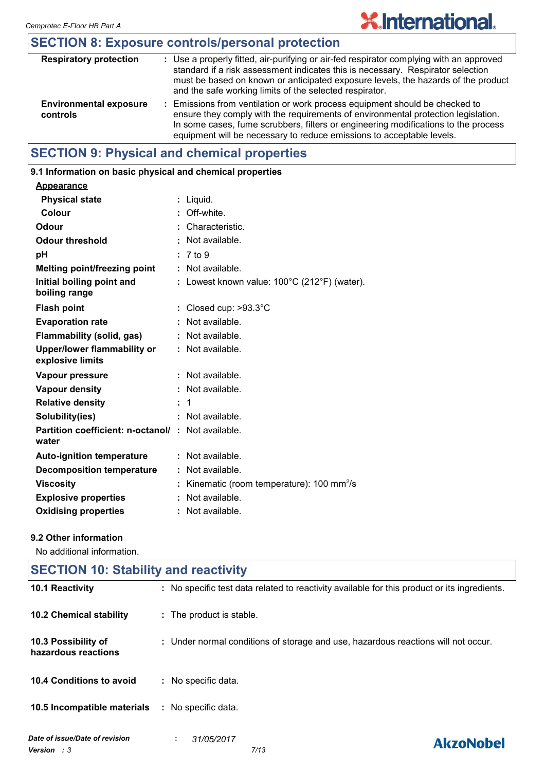## **SECTION 8: Exposure controls/personal protection**

| <b>Respiratory protection</b>             | : Use a properly fitted, air-purifying or air-fed respirator complying with an approved<br>standard if a risk assessment indicates this is necessary. Respirator selection<br>must be based on known or anticipated exposure levels, the hazards of the product<br>and the safe working limits of the selected respirator.      |
|-------------------------------------------|---------------------------------------------------------------------------------------------------------------------------------------------------------------------------------------------------------------------------------------------------------------------------------------------------------------------------------|
| <b>Environmental exposure</b><br>controls | : Emissions from ventilation or work process equipment should be checked to<br>ensure they comply with the requirements of environmental protection legislation.<br>In some cases, fume scrubbers, filters or engineering modifications to the process<br>equipment will be necessary to reduce emissions to acceptable levels. |

## **SECTION 9: Physical and chemical properties**

## **9.1 Information on basic physical and chemical properties**

| <b>Appearance</b>                                                 |    |                                                      |
|-------------------------------------------------------------------|----|------------------------------------------------------|
| <b>Physical state</b>                                             | ÷. | Liquid.                                              |
| <b>Colour</b>                                                     | ÷  | Off-white.                                           |
| Odour                                                             |    | Characteristic.                                      |
| <b>Odour threshold</b>                                            | ÷  | Not available.                                       |
| рH                                                                |    | 7 to 9                                               |
| Melting point/freezing point                                      |    | : Not available.                                     |
| Initial boiling point and<br>boiling range                        |    | Lowest known value: 100°C (212°F) (water).           |
| <b>Flash point</b>                                                |    | : Closed cup: $>93.3^{\circ}$ C                      |
| <b>Evaporation rate</b>                                           | ÷  | Not available.                                       |
| Flammability (solid, gas)                                         | t  | Not available.                                       |
| Upper/lower flammability or<br>explosive limits                   |    | $\therefore$ Not available.                          |
| Vapour pressure                                                   | ÷  | Not available.                                       |
| <b>Vapour density</b>                                             |    | Not available.                                       |
| <b>Relative density</b>                                           |    | 1                                                    |
| Solubility(ies)                                                   |    | : Not available.                                     |
| <b>Partition coefficient: n-octanol/: Not available.</b><br>water |    |                                                      |
| <b>Auto-ignition temperature</b>                                  |    | Not available.                                       |
| <b>Decomposition temperature</b>                                  |    | Not available.                                       |
| <b>Viscosity</b>                                                  |    | Kinematic (room temperature): 100 mm <sup>2</sup> /s |
| <b>Explosive properties</b>                                       | t  | Not available.                                       |
| <b>Oxidising properties</b>                                       | t  | Not available.                                       |

#### **9.2 Other information**

No additional information.

| <b>SECTION 10: Stability and reactivity</b>   |                                                                                              |  |
|-----------------------------------------------|----------------------------------------------------------------------------------------------|--|
| 10.1 Reactivity                               | : No specific test data related to reactivity available for this product or its ingredients. |  |
| <b>10.2 Chemical stability</b>                | : The product is stable.                                                                     |  |
| 10.3 Possibility of<br>hazardous reactions    | : Under normal conditions of storage and use, hazardous reactions will not occur.            |  |
| 10.4 Conditions to avoid                      | : No specific data.                                                                          |  |
| 10.5 Incompatible materials                   | : No specific data.                                                                          |  |
| Date of issue/Date of revision<br>Version : 3 | 31/05/2017<br>÷.<br><b>AkzoNobel</b><br>7/13                                                 |  |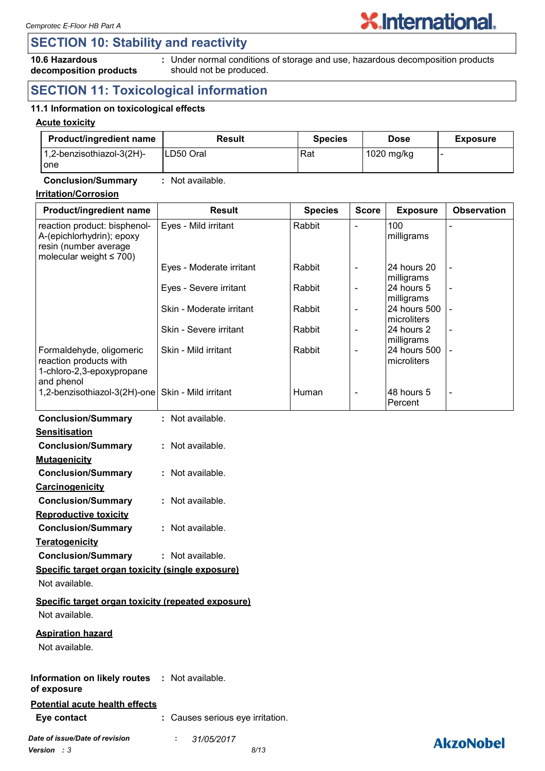**decomposition products**

## **SECTION 10: Stability and reactivity**

## **10.6 Hazardous**

Under normal conditions of storage and use, hazardous decomposition products **:** should not be produced.

**X.International.** 

## **SECTION 11: Toxicological information**

#### **11.1 Information on toxicological effects**

#### **Acute toxicity**

| <b>Product/ingredient name</b>   | Result     | <b>Species</b> | <b>Dose</b> | <b>Exposure</b> |
|----------------------------------|------------|----------------|-------------|-----------------|
| 1,2-benzisothiazol-3(2H)-<br>one | ILD50 Oral | Rat            | 1020 mg/kg  |                 |

#### **Conclusion/Summary :** Not available.

#### **Irritation/Corrosion**

| Product/ingredient name                                                                                             | <b>Result</b>            | <b>Species</b> | <b>Score</b>             | <b>Exposure</b>                     | <b>Observation</b>       |
|---------------------------------------------------------------------------------------------------------------------|--------------------------|----------------|--------------------------|-------------------------------------|--------------------------|
| reaction product: bisphenol-<br>A-(epichlorhydrin); epoxy<br>resin (number average<br>molecular weight $\leq 700$ ) | Eyes - Mild irritant     | Rabbit         | $\overline{\phantom{a}}$ | 100<br>milligrams                   |                          |
|                                                                                                                     | Eyes - Moderate irritant | Rabbit         | $\overline{\phantom{a}}$ | 24 hours 20<br>milligrams           | $\overline{\phantom{a}}$ |
|                                                                                                                     | Eyes - Severe irritant   | Rabbit         | $\overline{\phantom{a}}$ | 24 hours 5<br>milligrams            | $\overline{\phantom{a}}$ |
|                                                                                                                     | Skin - Moderate irritant | Rabbit         | $\overline{\phantom{a}}$ | 24 hours 500<br><b>Imicroliters</b> | $\blacksquare$           |
|                                                                                                                     | Skin - Severe irritant   | Rabbit         | $\overline{\phantom{a}}$ | 24 hours 2<br>milligrams            | $\overline{\phantom{a}}$ |
| Formaldehyde, oligomeric<br>reaction products with<br>1-chloro-2,3-epoxypropane<br>and phenol                       | Skin - Mild irritant     | Rabbit         | $\overline{\phantom{a}}$ | 24 hours 500<br>Imicroliters        | $\blacksquare$           |
| 1,2-benzisothiazol-3(2H)-one   Skin - Mild irritant                                                                 |                          | Human          | $\overline{\phantom{a}}$ | l48 hours 5<br><b>Percent</b>       | $\overline{\phantom{a}}$ |
| <b>Conclusion/Summary</b>                                                                                           | : Not available.         |                |                          |                                     |                          |

| <b>Sensitisation</b>      |                  |
|---------------------------|------------------|
| <b>Conclusion/Summary</b> | : Not available. |
| <b>Mutagenicity</b>       |                  |

| <b>Conclusion/Summary</b> | : Not available. |
|---------------------------|------------------|
| <b>Carcinogenicity</b>    |                  |
|                           |                  |

| <b>Conclusion/Summary</b>    | : Not available. |
|------------------------------|------------------|
| <b>Reproductive toxicity</b> |                  |

| <b>Conclusion/Summary</b> | : Not available. |
|---------------------------|------------------|
| <u>Teratogenicity</u>     |                  |

## **Conclusion/Summary :** Not available. **Specific target organ toxicity (single exposure)**

Not available.

#### **Specific target organ toxicity (repeated exposure)** Not available.

#### **Aspiration hazard**

Not available.

#### **Information on likely routes : Not available. of exposure**

#### **Potential acute health effects**

**Eye contact :** Causes serious eye irritation.

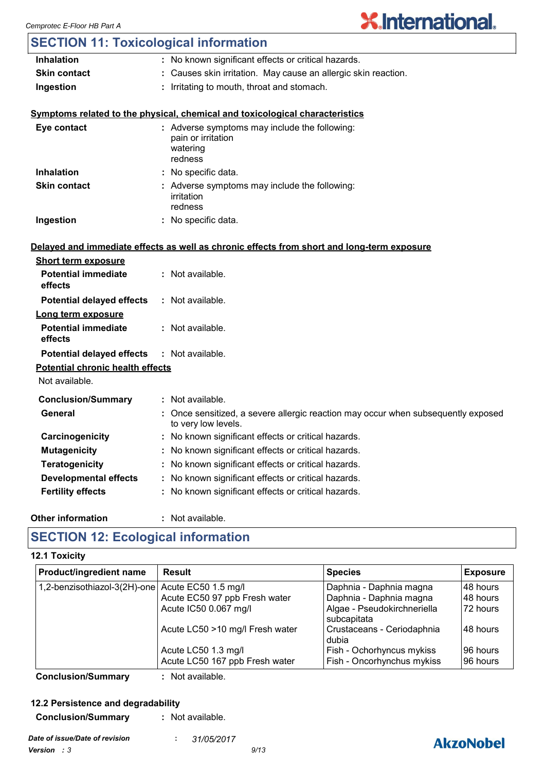| <b>SECTION 11: Toxicological information</b> |                                                                                                          |
|----------------------------------------------|----------------------------------------------------------------------------------------------------------|
| <b>Inhalation</b>                            | : No known significant effects or critical hazards.                                                      |
| <b>Skin contact</b>                          | : Causes skin irritation. May cause an allergic skin reaction.                                           |
| Ingestion                                    | : Irritating to mouth, throat and stomach.                                                               |
|                                              | Symptoms related to the physical, chemical and toxicological characteristics                             |
| Eye contact                                  | : Adverse symptoms may include the following:<br>pain or irritation<br>watering<br>redness               |
| <b>Inhalation</b>                            | : No specific data.                                                                                      |
| <b>Skin contact</b>                          | : Adverse symptoms may include the following:<br>irritation<br>redness                                   |
| Ingestion                                    | : No specific data.                                                                                      |
|                                              | Delayed and immediate effects as well as chronic effects from short and long-term exposure               |
| <b>Short term exposure</b>                   |                                                                                                          |
| <b>Potential immediate</b><br>effects        | : Not available.                                                                                         |
| <b>Potential delayed effects</b>             | : Not available.                                                                                         |
| <u>Long term exposure</u>                    |                                                                                                          |
| <b>Potential immediate</b><br>effects        | : Not available.                                                                                         |
| <b>Potential delayed effects</b>             | : Not available.                                                                                         |
| <b>Potential chronic health effects</b>      |                                                                                                          |
| Not available.                               |                                                                                                          |
| <b>Conclusion/Summary</b>                    | : Not available.                                                                                         |
| General                                      | : Once sensitized, a severe allergic reaction may occur when subsequently exposed<br>to very low levels. |
| Carcinogenicity                              | : No known significant effects or critical hazards.                                                      |
| <b>Mutagenicity</b>                          | : No known significant effects or critical hazards.                                                      |
| <b>Teratogenicity</b>                        | : No known significant effects or critical hazards.                                                      |
| <b>Developmental effects</b>                 | : No known significant effects or critical hazards.                                                      |
| <b>Fertility effects</b>                     | : No known significant effects or critical hazards.                                                      |
|                                              |                                                                                                          |
|                                              |                                                                                                          |

#### **Other information :**

: Not available.

## **SECTION 12: Ecological information**

#### **12.1 Toxicity**

| <b>Product/ingredient name</b>                   | <b>Result</b>                   | <b>Species</b>                             | <b>Exposure</b> |
|--------------------------------------------------|---------------------------------|--------------------------------------------|-----------------|
| 1,2-benzisothiazol-3(2H)-one Acute EC50 1.5 mg/l |                                 | Daphnia - Daphnia magna                    | 48 hours        |
|                                                  | Acute EC50 97 ppb Fresh water   | Daphnia - Daphnia magna                    | 48 hours        |
|                                                  | Acute IC50 0.067 mg/l           | Algae - Pseudokirchneriella<br>subcapitata | 72 hours        |
|                                                  | Acute LC50 >10 mg/l Fresh water | Crustaceans - Ceriodaphnia<br>dubia        | 48 hours        |
|                                                  | Acute LC50 1.3 mg/l             | Fish - Ochorhyncus mykiss                  | 96 hours        |
|                                                  | Acute LC50 167 ppb Fresh water  | Fish - Oncorhynchus mykiss                 | 96 hours        |

**Conclusion/Summary :** Not available.

## **12.2 Persistence and degradability**

**Conclusion/Summary :** Not available.

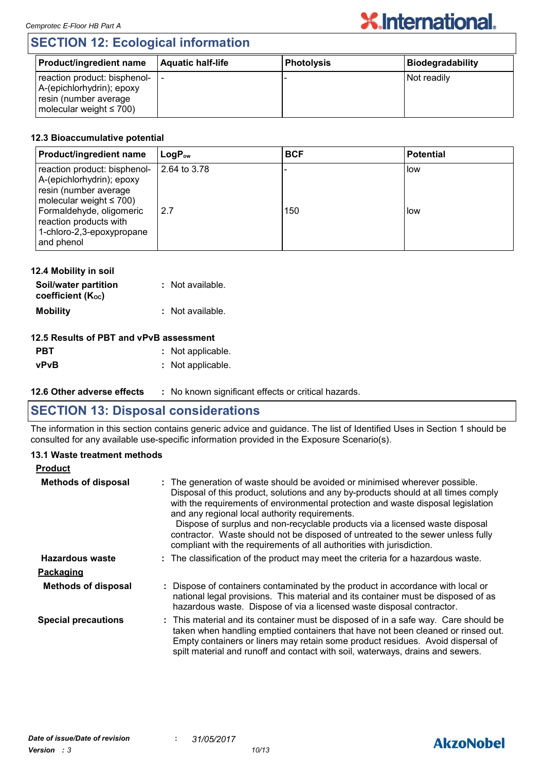## **SECTION 12: Ecological information**

| Product/ingredient name                                                                                                | <b>Aquatic half-life</b> | <b>Photolysis</b> | Biodegradability |
|------------------------------------------------------------------------------------------------------------------------|--------------------------|-------------------|------------------|
| reaction product: bisphenol-  -<br>A-(epichlorhydrin); epoxy<br>resin (number average<br>molecular weight $\leq 700$ ) |                          |                   | Not readily      |

#### **12.3 Bioaccumulative potential**

| <b>Product/ingredient name</b>                                                                                      | $\mathsf{LogP}_\mathsf{ow}$ | <b>BCF</b> | <b>Potential</b> |
|---------------------------------------------------------------------------------------------------------------------|-----------------------------|------------|------------------|
| reaction product: bisphenol-<br>A-(epichlorhydrin); epoxy<br>resin (number average<br>molecular weight $\leq 700$ ) | 2.64 to 3.78                |            | low              |
| Formaldehyde, oligomeric<br>reaction products with<br>1-chloro-2,3-epoxypropane<br>and phenol                       | 2.7                         | 150        | i low            |

| 12.4 Mobility in soil                     |                  |
|-------------------------------------------|------------------|
| Soil/water partition<br>coefficient (Koc) | : Not available. |
| <b>Mobility</b>                           | : Not available. |

#### **12.5 Results of PBT and vPvB assessment**

| <b>PBT</b> | : Not applicable. |
|------------|-------------------|
| vPvB       | : Not applicable. |

**12.6 Other adverse effects** : No known significant effects or critical hazards.

## **SECTION 13: Disposal considerations**

The information in this section contains generic advice and guidance. The list of Identified Uses in Section 1 should be consulted for any available use-specific information provided in the Exposure Scenario(s).

#### **13.1 Waste treatment methods**

| <b>Product</b>             |                                                                                                                                                                                                                                                                                                                                                                                                                                                                                                                                                     |
|----------------------------|-----------------------------------------------------------------------------------------------------------------------------------------------------------------------------------------------------------------------------------------------------------------------------------------------------------------------------------------------------------------------------------------------------------------------------------------------------------------------------------------------------------------------------------------------------|
| <b>Methods of disposal</b> | : The generation of waste should be avoided or minimised wherever possible.<br>Disposal of this product, solutions and any by-products should at all times comply<br>with the requirements of environmental protection and waste disposal legislation<br>and any regional local authority requirements.<br>Dispose of surplus and non-recyclable products via a licensed waste disposal<br>contractor. Waste should not be disposed of untreated to the sewer unless fully<br>compliant with the requirements of all authorities with jurisdiction. |
| Hazardous waste            | : The classification of the product may meet the criteria for a hazardous waste.                                                                                                                                                                                                                                                                                                                                                                                                                                                                    |
| Packaging                  |                                                                                                                                                                                                                                                                                                                                                                                                                                                                                                                                                     |
| <b>Methods of disposal</b> | : Dispose of containers contaminated by the product in accordance with local or<br>national legal provisions. This material and its container must be disposed of as<br>hazardous waste. Dispose of via a licensed waste disposal contractor.                                                                                                                                                                                                                                                                                                       |
| <b>Special precautions</b> | : This material and its container must be disposed of in a safe way. Care should be<br>taken when handling emptied containers that have not been cleaned or rinsed out.<br>Empty containers or liners may retain some product residues. Avoid dispersal of<br>spilt material and runoff and contact with soil, waterways, drains and sewers.                                                                                                                                                                                                        |

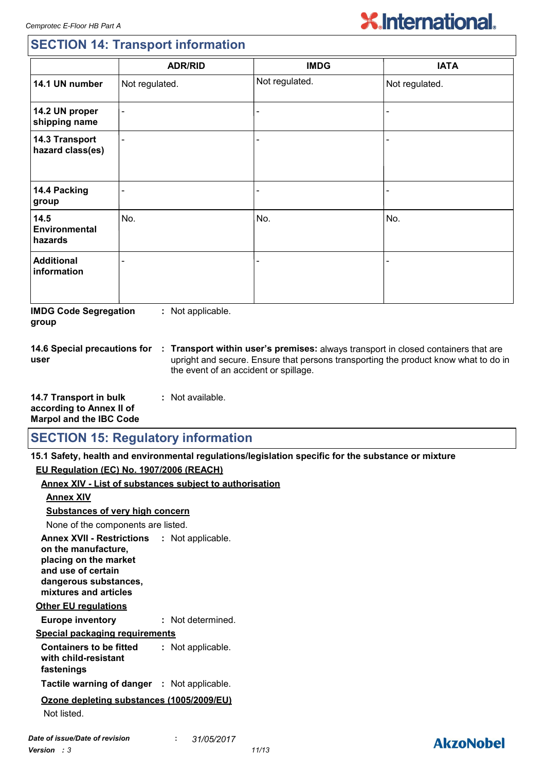**AkzoNobel** 

## **SECTION 14: Transport information**

|                                         | <b>ADR/RID</b>           | <b>IMDG</b>              | <b>IATA</b>              |
|-----------------------------------------|--------------------------|--------------------------|--------------------------|
| 14.1 UN number                          | Not regulated.           | Not regulated.           | Not regulated.           |
| 14.2 UN proper<br>shipping name         | $\blacksquare$           | $\blacksquare$           | $\blacksquare$           |
| 14.3 Transport<br>hazard class(es)      | $\blacksquare$           | $\overline{\phantom{0}}$ | $\overline{\phantom{0}}$ |
| 14.4 Packing<br>group                   | $\overline{\phantom{0}}$ |                          | -                        |
| 14.5<br><b>Environmental</b><br>hazards | No.                      | No.                      | No.                      |
| <b>Additional</b><br>information        | $\overline{\phantom{0}}$ |                          |                          |

**IMDG Code Segregation group :** Not applicable.

**14.6 Special precautions for user**

**Transport within user's premises:** always transport in closed containers that are **:** upright and secure. Ensure that persons transporting the product know what to do in the event of an accident or spillage.

**14.7 Transport in bulk according to Annex II of Marpol and the IBC Code :** Not available.

## **SECTION 15: Regulatory information**

**15.1 Safety, health and environmental regulations/legislation specific for the substance or mixture**

**EU Regulation (EC) No. 1907/2006 (REACH)**

| <u>Lo Regulation (Lo) No. 1001/2000 (REAGIT)</u>                                                                                                                           |                                                                |
|----------------------------------------------------------------------------------------------------------------------------------------------------------------------------|----------------------------------------------------------------|
|                                                                                                                                                                            | <b>Annex XIV - List of substances subject to authorisation</b> |
| <b>Annex XIV</b>                                                                                                                                                           |                                                                |
| <b>Substances of very high concern</b>                                                                                                                                     |                                                                |
| None of the components are listed.                                                                                                                                         |                                                                |
| <b>Annex XVII - Restrictions : Not applicable.</b><br>on the manufacture,<br>placing on the market<br>and use of certain<br>dangerous substances,<br>mixtures and articles |                                                                |
| <b>Other EU regulations</b>                                                                                                                                                |                                                                |
| <b>Europe inventory</b>                                                                                                                                                    | : Not determined.                                              |
| <b>Special packaging requirements</b>                                                                                                                                      |                                                                |
| <b>Containers to be fitted</b><br>with child-resistant<br>fastenings                                                                                                       | : Not applicable.                                              |
| <b>Tactile warning of danger : Not applicable.</b>                                                                                                                         |                                                                |
| Ozone depleting substances (1005/2009/EU)<br>Not listed.                                                                                                                   |                                                                |
| Date of issue/Date of revision<br><b>Version</b> : 3                                                                                                                       | 31/05/2017<br>$\mathbf{1}$<br>11/13                            |
|                                                                                                                                                                            |                                                                |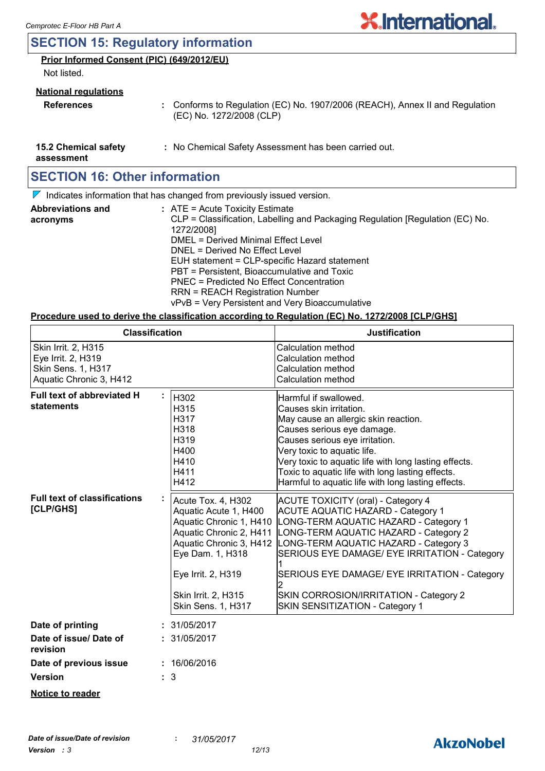## **SECTION 15: Regulatory information**

#### **Prior Informed Consent (PIC) (649/2012/EU)**

Not listed.

#### **National regulations**

- **References :** Conforms to Regulation (EC) No. 1907/2006 (REACH), Annex II and Regulation (EC) No. 1272/2008 (CLP)
- **15.2 Chemical safety :** No Chemical Safety Assessment has been carried out.

**assessment**

## **SECTION 16: Other information**

 $\nabla$  Indicates information that has changed from previously issued version.

| <b>Abbreviations and</b> | : ATE = Acute Toxicity Estimate                                               |
|--------------------------|-------------------------------------------------------------------------------|
| acronyms                 | CLP = Classification, Labelling and Packaging Regulation [Regulation (EC) No. |
|                          | 1272/2008]                                                                    |
|                          | DMEL = Derived Minimal Effect Level                                           |
|                          | DNEL = Derived No Effect Level                                                |
|                          | EUH statement = CLP-specific Hazard statement                                 |
|                          | PBT = Persistent, Bioaccumulative and Toxic                                   |
|                          | PNEC = Predicted No Effect Concentration                                      |
|                          | <b>RRN = REACH Registration Number</b>                                        |
|                          | vPvB = Very Persistent and Very Bioaccumulative                               |

#### **Procedure used to derive the classification according to Regulation (EC) No. 1272/2008 [CLP/GHS]**

| <b>Classification</b>                                                                                                                                                                                                                                                   |                                                                      | <b>Justification</b>                                                                                                                                                                                                                                                                                                                                                                            |  |  |
|-------------------------------------------------------------------------------------------------------------------------------------------------------------------------------------------------------------------------------------------------------------------------|----------------------------------------------------------------------|-------------------------------------------------------------------------------------------------------------------------------------------------------------------------------------------------------------------------------------------------------------------------------------------------------------------------------------------------------------------------------------------------|--|--|
| Skin Irrit. 2, H315<br>Eye Irrit. 2, H319<br><b>Skin Sens. 1, H317</b><br>Aquatic Chronic 3, H412                                                                                                                                                                       |                                                                      | <b>Calculation method</b><br>Calculation method<br>Calculation method<br><b>Calculation method</b>                                                                                                                                                                                                                                                                                              |  |  |
| <b>Full text of abbreviated H</b><br>statements                                                                                                                                                                                                                         | H302<br>H315<br>H317<br>H318<br>H319<br>H400<br>H410<br>H411<br>H412 | Harmful if swallowed.<br>Causes skin irritation.<br>May cause an allergic skin reaction.<br>Causes serious eye damage.<br>Causes serious eye irritation.<br>Very toxic to aquatic life.<br>Very toxic to aquatic life with long lasting effects.<br>Toxic to aquatic life with long lasting effects.<br>Harmful to aquatic life with long lasting effects.                                      |  |  |
| <b>Full text of classifications</b><br>Acute Tox. 4, H302<br>[CLP/GHS]<br>Aquatic Acute 1, H400<br>Aquatic Chronic 1, H410<br>Aquatic Chronic 2, H411<br>Aquatic Chronic 3, H412<br>Eye Dam. 1, H318<br>Eye Irrit. 2, H319<br>Skin Irrit. 2, H315<br>Skin Sens. 1, H317 |                                                                      | <b>ACUTE TOXICITY (oral) - Category 4</b><br><b>ACUTE AQUATIC HAZARD - Category 1</b><br>LONG-TERM AQUATIC HAZARD - Category 1<br>LONG-TERM AQUATIC HAZARD - Category 2<br>LONG-TERM AQUATIC HAZARD - Category 3<br>SERIOUS EYE DAMAGE/ EYE IRRITATION - Category<br>SERIOUS EYE DAMAGE/ EYE IRRITATION - Category<br>SKIN CORROSION/IRRITATION - Category 2<br>SKIN SENSITIZATION - Category 1 |  |  |
| Date of printing                                                                                                                                                                                                                                                        | 31/05/2017                                                           |                                                                                                                                                                                                                                                                                                                                                                                                 |  |  |
| Date of issue/Date of<br>revision                                                                                                                                                                                                                                       | : 31/05/2017                                                         |                                                                                                                                                                                                                                                                                                                                                                                                 |  |  |
| Date of previous issue                                                                                                                                                                                                                                                  | : 16/06/2016                                                         |                                                                                                                                                                                                                                                                                                                                                                                                 |  |  |
| <b>Version</b>                                                                                                                                                                                                                                                          | $\therefore$ 3                                                       |                                                                                                                                                                                                                                                                                                                                                                                                 |  |  |
| <b>Notice to reader</b>                                                                                                                                                                                                                                                 |                                                                      |                                                                                                                                                                                                                                                                                                                                                                                                 |  |  |

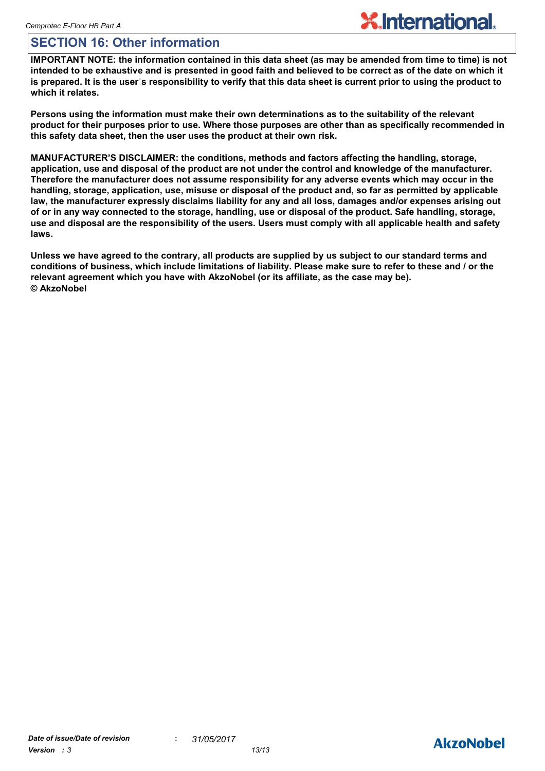## **SECTION 16: Other information**

**IMPORTANT NOTE: the information contained in this data sheet (as may be amended from time to time) is not intended to be exhaustive and is presented in good faith and believed to be correct as of the date on which it is prepared. It is the userˈs responsibility to verify that this data sheet is current prior to using the product to which it relates.**

**Persons using the information must make their own determinations as to the suitability of the relevant product for their purposes prior to use. Where those purposes are other than as specifically recommended in this safety data sheet, then the user uses the product at their own risk.**

**MANUFACTURER'S DISCLAIMER: the conditions, methods and factors affecting the handling, storage, application, use and disposal of the product are not under the control and knowledge of the manufacturer. Therefore the manufacturer does not assume responsibility for any adverse events which may occur in the handling, storage, application, use, misuse or disposal of the product and, so far as permitted by applicable law, the manufacturer expressly disclaims liability for any and all loss, damages and/or expenses arising out of or in any way connected to the storage, handling, use or disposal of the product. Safe handling, storage, use and disposal are the responsibility of the users. Users must comply with all applicable health and safety laws.**

**Unless we have agreed to the contrary, all products are supplied by us subject to our standard terms and conditions of business, which include limitations of liability. Please make sure to refer to these and / or the relevant agreement which you have with AkzoNobel (or its affiliate, as the case may be). © AkzoNobel**

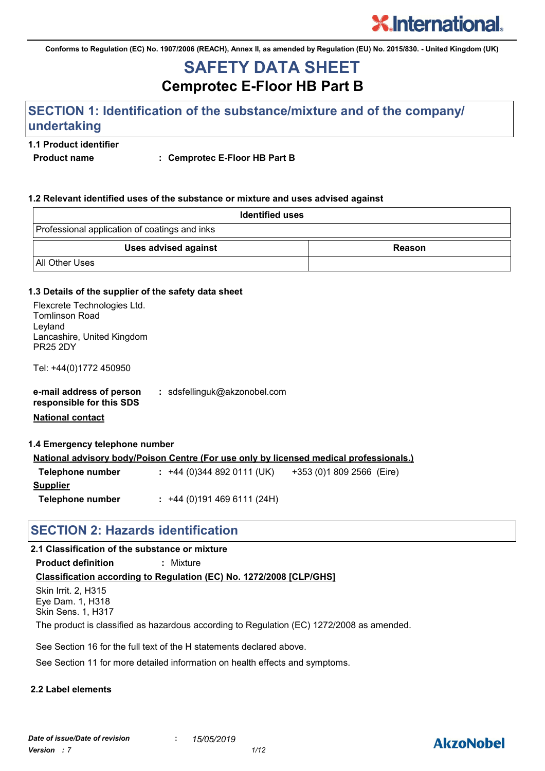**Conforms to Regulation (EC) No. 1907/2006 (REACH), Annex II, as amended by Regulation (EU) No. 2015/830. - United Kingdom (UK)**

## **Cemprotec E-Floor HB Part B SAFETY DATA SHEET**

## **SECTION 1: Identification of the substance/mixture and of the company/ undertaking**

#### **1.1 Product identifier**

Product name : Cemprotec E-Floor HB Part B

#### **1.2 Relevant identified uses of the substance or mixture and uses advised against**

| <b>Identified uses</b>                        |               |  |  |  |
|-----------------------------------------------|---------------|--|--|--|
| Professional application of coatings and inks |               |  |  |  |
| <b>Uses advised against</b>                   | <b>Reason</b> |  |  |  |
| <b>All Other Uses</b>                         |               |  |  |  |

#### **1.3 Details of the supplier of the safety data sheet**

| Flexcrete Technologies Ltd.<br><b>Tomlinson Road</b><br>Leyland<br>Lancashire, United Kingdom<br><b>PR25 2DY</b> |                                                                                               |
|------------------------------------------------------------------------------------------------------------------|-----------------------------------------------------------------------------------------------|
| Tel: +44(0)1772 450950                                                                                           |                                                                                               |
| e-mail address of person<br>responsible for this SDS<br><b>National contact</b>                                  | : sdsfellinguk@akzonobel.com                                                                  |
| 1.4 Emergency telephone number                                                                                   |                                                                                               |
|                                                                                                                  | <b>National advisory body/Poison Centre (For use only by licensed medical professionals.)</b> |
| Telephone number                                                                                                 | : +44 (0) 344 892 0111 (UK) +353 (0) 1809 2566 (Eire)                                         |
| <b>Supplier</b>                                                                                                  |                                                                                               |
| Telephone number                                                                                                 | $: +44(0)1914696111(24H)$                                                                     |

#### **SECTION 2: Hazards identification**

#### **2.1 Classification of the substance or mixture**

**Product definition :** Mixture

#### **Classification according to Regulation (EC) No. 1272/2008 [CLP/GHS]**

Skin Irrit. 2, H315 Eye Dam. 1, H318 Skin Sens. 1, H317

The product is classified as hazardous according to Regulation (EC) 1272/2008 as amended.

See Section 16 for the full text of the H statements declared above.

See Section 11 for more detailed information on health effects and symptoms.

#### **2.2 Label elements**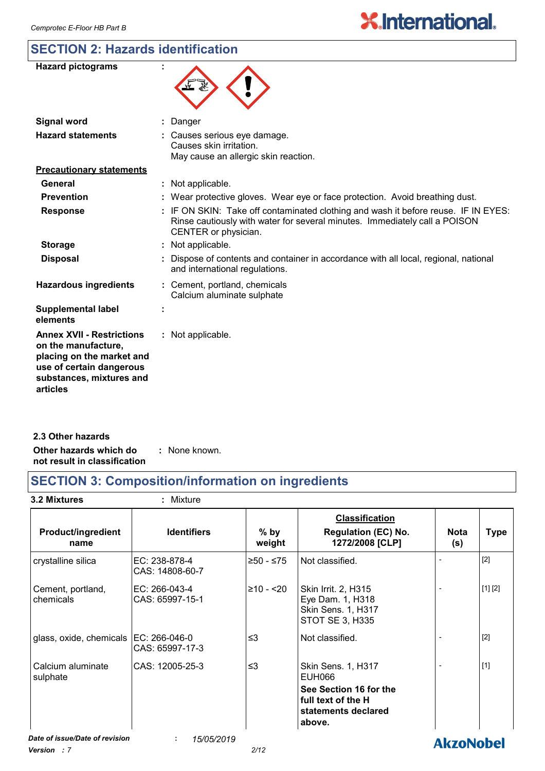## **SECTION 2: Hazards identification**

| <b>Hazard pictograms</b>                                                                                                                                 |                                                                                                                                                                                        |
|----------------------------------------------------------------------------------------------------------------------------------------------------------|----------------------------------------------------------------------------------------------------------------------------------------------------------------------------------------|
| <b>Signal word</b>                                                                                                                                       | Danger                                                                                                                                                                                 |
| <b>Hazard statements</b>                                                                                                                                 | : Causes serious eye damage.<br>Causes skin irritation.<br>May cause an allergic skin reaction.                                                                                        |
| <b>Precautionary statements</b>                                                                                                                          |                                                                                                                                                                                        |
| General                                                                                                                                                  | Not applicable.                                                                                                                                                                        |
| <b>Prevention</b>                                                                                                                                        | Wear protective gloves. Wear eye or face protection. Avoid breathing dust.                                                                                                             |
| <b>Response</b>                                                                                                                                          | IF ON SKIN: Take off contaminated clothing and wash it before reuse. IF IN EYES:<br>Rinse cautiously with water for several minutes. Immediately call a POISON<br>CENTER or physician. |
| <b>Storage</b>                                                                                                                                           | Not applicable.<br>÷.                                                                                                                                                                  |
| <b>Disposal</b>                                                                                                                                          | Dispose of contents and container in accordance with all local, regional, national<br>and international regulations.                                                                   |
| <b>Hazardous ingredients</b>                                                                                                                             | Cement, portland, chemicals<br>Calcium aluminate sulphate                                                                                                                              |
| <b>Supplemental label</b><br>elements                                                                                                                    |                                                                                                                                                                                        |
| <b>Annex XVII - Restrictions</b><br>on the manufacture,<br>placing on the market and<br>use of certain dangerous<br>substances, mixtures and<br>articles | Not applicable.                                                                                                                                                                        |

| 2.3 Other hazards            |               |
|------------------------------|---------------|
| Other hazards which do       | : None known. |
| not result in classification |               |

## **SECTION 3: Composition/information on ingredients**

| 3.2 Mixtures                            | : Mixture                        |                      |                                                                                                               |                    |             |
|-----------------------------------------|----------------------------------|----------------------|---------------------------------------------------------------------------------------------------------------|--------------------|-------------|
| <b>Product/ingredient</b><br>name       | <b>Identifiers</b>               | $%$ by<br>weight     | <b>Classification</b><br><b>Regulation (EC) No.</b><br>1272/2008 [CLP]                                        | <b>Nota</b><br>(s) | <b>Type</b> |
| crystalline silica                      | EC: 238-878-4<br>CAS: 14808-60-7 | ≥50 - ≤75            | Not classified.                                                                                               |                    | $[2]$       |
| Cement, portland,<br>chemicals          | EC: 266-043-4<br>CAS: 65997-15-1 | $≥10 - 20$           | Skin Irrit. 2, H315<br>Eye Dam. 1, H318<br>Skin Sens. 1, H317<br>STOT SE 3, H335                              |                    | [1] [2]     |
| glass, oxide, chemicals   EC: 266-046-0 | CAS: 65997-17-3                  | $\leq$ 3             | Not classified.                                                                                               |                    | $[2]$       |
| Calcium aluminate<br>sulphate           | CAS: 12005-25-3                  | $\leq$ 3             | Skin Sens. 1, H317<br>EUH066<br>See Section 16 for the<br>full text of the H<br>statements declared<br>above. |                    | $[1]$       |
| Date of issue/Date of revision          | ÷.<br>15/05/2019                 | $\sim$ $\sim$ $\sim$ |                                                                                                               | <b>AkzoNobel</b>   |             |

*Version : 7 2/12*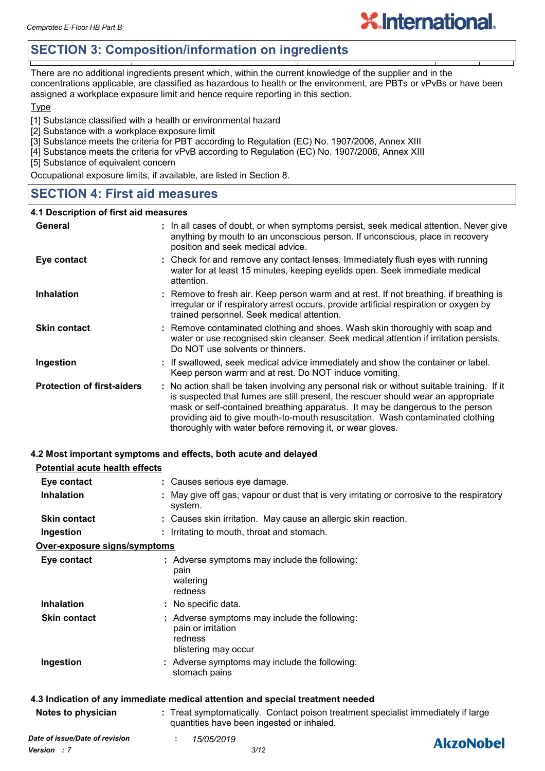## **SECTION 3: Composition/information on ingredients**

There are no additional ingredients present which, within the current knowledge of the supplier and in the concentrations applicable, are classified as hazardous to health or the environment, are PBTs or vPvBs or have been assigned a workplace exposure limit and hence require reporting in this section.

**X.International.** 

#### Type

[1] Substance classified with a health or environmental hazard

- [2] Substance with a workplace exposure limit
- [3] Substance meets the criteria for PBT according to Regulation (EC) No. 1907/2006, Annex XIII
- [4] Substance meets the criteria for vPvB according to Regulation (EC) No. 1907/2006, Annex XIII

[5] Substance of equivalent concern

Occupational exposure limits, if available, are listed in Section 8.

#### **SECTION 4: First aid measures**

#### **4.1 Description of first aid measures**

| General                           | : In all cases of doubt, or when symptoms persist, seek medical attention. Never give<br>anything by mouth to an unconscious person. If unconscious, place in recovery<br>position and seek medical advice.                                                                                                                                                                                                     |  |
|-----------------------------------|-----------------------------------------------------------------------------------------------------------------------------------------------------------------------------------------------------------------------------------------------------------------------------------------------------------------------------------------------------------------------------------------------------------------|--|
| Eye contact                       | : Check for and remove any contact lenses. Immediately flush eyes with running<br>water for at least 15 minutes, keeping eyelids open. Seek immediate medical<br>attention.                                                                                                                                                                                                                                     |  |
| <b>Inhalation</b>                 | : Remove to fresh air. Keep person warm and at rest. If not breathing, if breathing is<br>irregular or if respiratory arrest occurs, provide artificial respiration or oxygen by<br>trained personnel. Seek medical attention.                                                                                                                                                                                  |  |
| <b>Skin contact</b>               | : Remove contaminated clothing and shoes. Wash skin thoroughly with soap and<br>water or use recognised skin cleanser. Seek medical attention if irritation persists.<br>Do NOT use solvents or thinners.                                                                                                                                                                                                       |  |
| Ingestion                         | : If swallowed, seek medical advice immediately and show the container or label.<br>Keep person warm and at rest. Do NOT induce vomiting.                                                                                                                                                                                                                                                                       |  |
| <b>Protection of first-aiders</b> | : No action shall be taken involving any personal risk or without suitable training. If it<br>is suspected that fumes are still present, the rescuer should wear an appropriate<br>mask or self-contained breathing apparatus. It may be dangerous to the person<br>providing aid to give mouth-to-mouth resuscitation. Wash contaminated clothing<br>thoroughly with water before removing it, or wear gloves. |  |

#### **4.2 Most important symptoms and effects, both acute and delayed**

| <b>Potential acute health effects</b> |                                                                                                                                |  |  |
|---------------------------------------|--------------------------------------------------------------------------------------------------------------------------------|--|--|
| Eye contact                           | : Causes serious eye damage.                                                                                                   |  |  |
| <b>Inhalation</b>                     | : May give off gas, vapour or dust that is very irritating or corrosive to the respiratory<br>system.                          |  |  |
| <b>Skin contact</b>                   | : Causes skin irritation. May cause an allergic skin reaction.                                                                 |  |  |
| Ingestion                             | : Irritating to mouth, throat and stomach.                                                                                     |  |  |
| Over-exposure signs/symptoms          |                                                                                                                                |  |  |
| Eye contact                           | : Adverse symptoms may include the following:<br>pain<br>watering<br>redness                                                   |  |  |
| <b>Inhalation</b>                     | : No specific data.                                                                                                            |  |  |
| <b>Skin contact</b>                   | : Adverse symptoms may include the following:<br>pain or irritation<br>redness<br>blistering may occur                         |  |  |
| Ingestion                             | : Adverse symptoms may include the following:<br>stomach pains                                                                 |  |  |
|                                       | 4.3 Indication of any immediate medical attention and special treatment needed                                                 |  |  |
| Notes to physician                    | : Treat symptomatically. Contact poison treatment specialist immediately if large<br>quantities have been ingested or inhaled. |  |  |

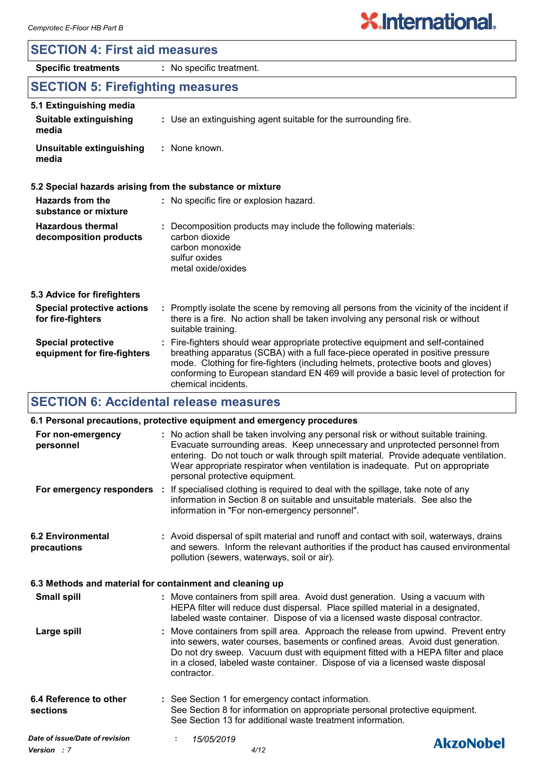## **SECTION 4: First aid measures**

# **X.International.**

## **SECTION 5: Firefighting measures**

**Specific treatments :** No specific treatment.

|  | 5.1 Extinguishing media |  |
|--|-------------------------|--|
|--|-------------------------|--|

| Suitable extinguishing<br>media   | : Use an extinguishing agent suitable for the surrounding fire. |
|-----------------------------------|-----------------------------------------------------------------|
| Unsuitable extinguishing<br>media | : None known.                                                   |

#### **5.2 Special hazards arising from the substance or mixture**

| Hazards from the<br>substance or mixture                 | : No specific fire or explosion hazard.                                                                                                                                                                                                                                                                                                                               |  |
|----------------------------------------------------------|-----------------------------------------------------------------------------------------------------------------------------------------------------------------------------------------------------------------------------------------------------------------------------------------------------------------------------------------------------------------------|--|
| <b>Hazardous thermal</b><br>decomposition products       | : Decomposition products may include the following materials:<br>carbon dioxide<br>carbon monoxide<br>sulfur oxides<br>metal oxide/oxides                                                                                                                                                                                                                             |  |
| 5.3 Advice for firefighters                              |                                                                                                                                                                                                                                                                                                                                                                       |  |
| <b>Special protective actions</b><br>for fire-fighters   | : Promptly isolate the scene by removing all persons from the vicinity of the incident if<br>there is a fire. No action shall be taken involving any personal risk or without<br>suitable training.                                                                                                                                                                   |  |
| <b>Special protective</b><br>equipment for fire-fighters | : Fire-fighters should wear appropriate protective equipment and self-contained<br>breathing apparatus (SCBA) with a full face-piece operated in positive pressure<br>mode. Clothing for fire-fighters (including helmets, protective boots and gloves)<br>conforming to European standard EN 469 will provide a basic level of protection for<br>chemical incidents. |  |

## **SECTION 6: Accidental release measures**

| 6.1 Personal precautions, protective equipment and emergency procedures |  |                                                                                                                                                                                                                                                                                                                                                                                 |                  |  |
|-------------------------------------------------------------------------|--|---------------------------------------------------------------------------------------------------------------------------------------------------------------------------------------------------------------------------------------------------------------------------------------------------------------------------------------------------------------------------------|------------------|--|
| For non-emergency<br>personnel                                          |  | : No action shall be taken involving any personal risk or without suitable training.<br>Evacuate surrounding areas. Keep unnecessary and unprotected personnel from<br>entering. Do not touch or walk through spilt material. Provide adequate ventilation.<br>Wear appropriate respirator when ventilation is inadequate. Put on appropriate<br>personal protective equipment. |                  |  |
|                                                                         |  | For emergency responders : If specialised clothing is required to deal with the spillage, take note of any<br>information in Section 8 on suitable and unsuitable materials. See also the<br>information in "For non-emergency personnel".                                                                                                                                      |                  |  |
| <b>6.2 Environmental</b><br>precautions                                 |  | : Avoid dispersal of spilt material and runoff and contact with soil, waterways, drains<br>and sewers. Inform the relevant authorities if the product has caused environmental<br>pollution (sewers, waterways, soil or air).                                                                                                                                                   |                  |  |
| 6.3 Methods and material for containment and cleaning up                |  |                                                                                                                                                                                                                                                                                                                                                                                 |                  |  |
| <b>Small spill</b>                                                      |  | : Move containers from spill area. Avoid dust generation. Using a vacuum with<br>HEPA filter will reduce dust dispersal. Place spilled material in a designated,<br>labeled waste container. Dispose of via a licensed waste disposal contractor.                                                                                                                               |                  |  |
| Large spill                                                             |  | : Move containers from spill area. Approach the release from upwind. Prevent entry<br>into sewers, water courses, basements or confined areas. Avoid dust generation.<br>Do not dry sweep. Vacuum dust with equipment fitted with a HEPA filter and place<br>in a closed, labeled waste container. Dispose of via a licensed waste disposal<br>contractor.                      |                  |  |
| 6.4 Reference to other<br>sections                                      |  | : See Section 1 for emergency contact information.<br>See Section 8 for information on appropriate personal protective equipment.<br>See Section 13 for additional waste treatment information.                                                                                                                                                                                 |                  |  |
| Date of issue/Date of revision                                          |  | 15/05/2019                                                                                                                                                                                                                                                                                                                                                                      | <b>AkzoNobel</b> |  |
| Version : 7                                                             |  | 4/12                                                                                                                                                                                                                                                                                                                                                                            |                  |  |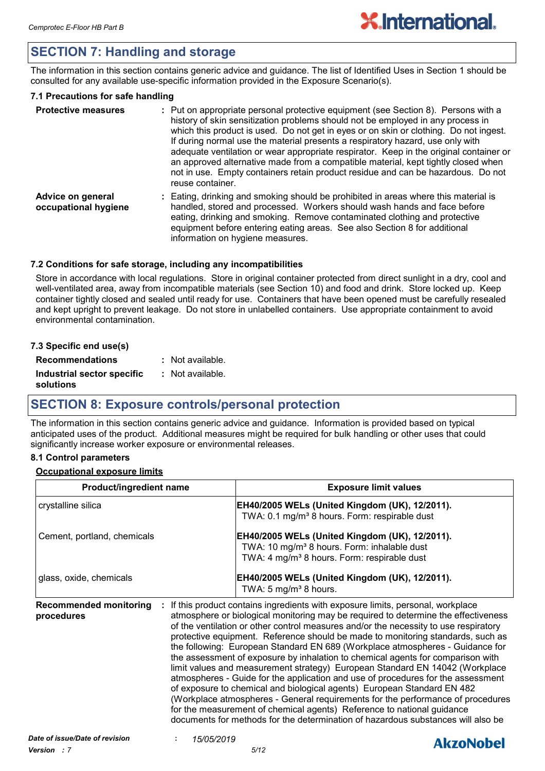## **SECTION 7: Handling and storage**

The information in this section contains generic advice and guidance. The list of Identified Uses in Section 1 should be consulted for any available use-specific information provided in the Exposure Scenario(s).

#### **7.1 Precautions for safe handling**

| <b>Protective measures</b>                | : Put on appropriate personal protective equipment (see Section 8). Persons with a<br>history of skin sensitization problems should not be employed in any process in<br>which this product is used. Do not get in eyes or on skin or clothing. Do not ingest.<br>If during normal use the material presents a respiratory hazard, use only with<br>adequate ventilation or wear appropriate respirator. Keep in the original container or<br>an approved alternative made from a compatible material, kept tightly closed when<br>not in use. Empty containers retain product residue and can be hazardous. Do not<br>reuse container. |
|-------------------------------------------|-----------------------------------------------------------------------------------------------------------------------------------------------------------------------------------------------------------------------------------------------------------------------------------------------------------------------------------------------------------------------------------------------------------------------------------------------------------------------------------------------------------------------------------------------------------------------------------------------------------------------------------------|
| Advice on general<br>occupational hygiene | : Eating, drinking and smoking should be prohibited in areas where this material is<br>handled, stored and processed. Workers should wash hands and face before<br>eating, drinking and smoking. Remove contaminated clothing and protective<br>equipment before entering eating areas. See also Section 8 for additional<br>information on hygiene measures.                                                                                                                                                                                                                                                                           |

#### **7.2 Conditions for safe storage, including any incompatibilities**

Store in accordance with local regulations. Store in original container protected from direct sunlight in a dry, cool and well-ventilated area, away from incompatible materials (see Section 10) and food and drink. Store locked up. Keep container tightly closed and sealed until ready for use. Containers that have been opened must be carefully resealed and kept upright to prevent leakage. Do not store in unlabelled containers. Use appropriate containment to avoid environmental contamination.

#### **7.3 Specific end use(s)**

| <b>Recommendations</b>     | $:$ Not available. |
|----------------------------|--------------------|
| Industrial sector specific | : Not available.   |
| solutions                  |                    |

## **SECTION 8: Exposure controls/personal protection**

The information in this section contains generic advice and guidance. Information is provided based on typical anticipated uses of the product. Additional measures might be required for bulk handling or other uses that could significantly increase worker exposure or environmental releases.

#### **8.1 Control parameters**

#### **Occupational exposure limits**

| <b>Product/ingredient name</b>              |                                                                                                                                                                                                                                                                                                                                                                                                                                                                                                                                                                                                                                                                                                                                                                                                                                                                                                                                                                                                                       | <b>Exposure limit values</b> |
|---------------------------------------------|-----------------------------------------------------------------------------------------------------------------------------------------------------------------------------------------------------------------------------------------------------------------------------------------------------------------------------------------------------------------------------------------------------------------------------------------------------------------------------------------------------------------------------------------------------------------------------------------------------------------------------------------------------------------------------------------------------------------------------------------------------------------------------------------------------------------------------------------------------------------------------------------------------------------------------------------------------------------------------------------------------------------------|------------------------------|
| crystalline silica                          | EH40/2005 WELs (United Kingdom (UK), 12/2011).<br>TWA: 0.1 mg/m <sup>3</sup> 8 hours. Form: respirable dust                                                                                                                                                                                                                                                                                                                                                                                                                                                                                                                                                                                                                                                                                                                                                                                                                                                                                                           |                              |
| Cement, portland, chemicals                 | EH40/2005 WELs (United Kingdom (UK), 12/2011).<br>TWA: 10 mg/m <sup>3</sup> 8 hours. Form: inhalable dust<br>TWA: 4 mg/m <sup>3</sup> 8 hours. Form: respirable dust                                                                                                                                                                                                                                                                                                                                                                                                                                                                                                                                                                                                                                                                                                                                                                                                                                                  |                              |
| glass, oxide, chemicals                     | EH40/2005 WELs (United Kingdom (UK), 12/2011).<br>TWA: 5 mg/m <sup>3</sup> 8 hours.                                                                                                                                                                                                                                                                                                                                                                                                                                                                                                                                                                                                                                                                                                                                                                                                                                                                                                                                   |                              |
| <b>Recommended monitoring</b><br>procedures | : If this product contains ingredients with exposure limits, personal, workplace<br>atmosphere or biological monitoring may be required to determine the effectiveness<br>of the ventilation or other control measures and/or the necessity to use respiratory<br>protective equipment. Reference should be made to monitoring standards, such as<br>the following: European Standard EN 689 (Workplace atmospheres - Guidance for<br>the assessment of exposure by inhalation to chemical agents for comparison with<br>limit values and measurement strategy) European Standard EN 14042 (Workplace<br>atmospheres - Guide for the application and use of procedures for the assessment<br>of exposure to chemical and biological agents) European Standard EN 482<br>(Workplace atmospheres - General requirements for the performance of procedures<br>for the measurement of chemical agents) Reference to national guidance<br>documents for methods for the determination of hazardous substances will also be |                              |
| Date of issue/Date of revision              | 15/05/2019                                                                                                                                                                                                                                                                                                                                                                                                                                                                                                                                                                                                                                                                                                                                                                                                                                                                                                                                                                                                            | <b>Almablahal</b>            |

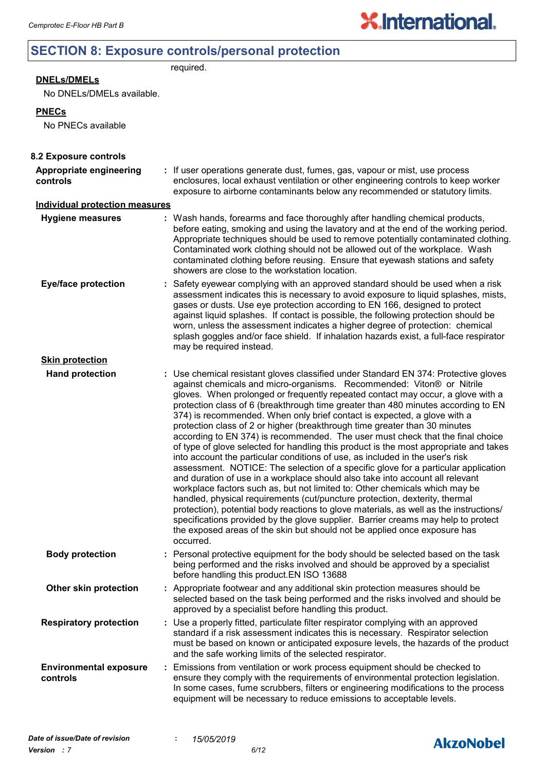## **SECTION 8: Exposure controls/personal protection**

required.

#### **DNELs/DMELs**

No DNELs/DMELs available.

#### **PNECs**

No PNECs available

| 8.2 Exposure controls                     |                                                                                                                                                                                                                                                                                                                                                                                                                                                                                                                                                                                                                                                                                                                                                                                                                                                                                                                                                                                                                                                                                                                                                                                                                                                                                                                                                                          |
|-------------------------------------------|--------------------------------------------------------------------------------------------------------------------------------------------------------------------------------------------------------------------------------------------------------------------------------------------------------------------------------------------------------------------------------------------------------------------------------------------------------------------------------------------------------------------------------------------------------------------------------------------------------------------------------------------------------------------------------------------------------------------------------------------------------------------------------------------------------------------------------------------------------------------------------------------------------------------------------------------------------------------------------------------------------------------------------------------------------------------------------------------------------------------------------------------------------------------------------------------------------------------------------------------------------------------------------------------------------------------------------------------------------------------------|
| Appropriate engineering<br>controls       | : If user operations generate dust, fumes, gas, vapour or mist, use process<br>enclosures, local exhaust ventilation or other engineering controls to keep worker<br>exposure to airborne contaminants below any recommended or statutory limits.                                                                                                                                                                                                                                                                                                                                                                                                                                                                                                                                                                                                                                                                                                                                                                                                                                                                                                                                                                                                                                                                                                                        |
| <b>Individual protection measures</b>     |                                                                                                                                                                                                                                                                                                                                                                                                                                                                                                                                                                                                                                                                                                                                                                                                                                                                                                                                                                                                                                                                                                                                                                                                                                                                                                                                                                          |
| <b>Hygiene measures</b>                   | : Wash hands, forearms and face thoroughly after handling chemical products,<br>before eating, smoking and using the lavatory and at the end of the working period.<br>Appropriate techniques should be used to remove potentially contaminated clothing.<br>Contaminated work clothing should not be allowed out of the workplace. Wash<br>contaminated clothing before reusing. Ensure that eyewash stations and safety<br>showers are close to the workstation location.                                                                                                                                                                                                                                                                                                                                                                                                                                                                                                                                                                                                                                                                                                                                                                                                                                                                                              |
| <b>Eye/face protection</b>                | : Safety eyewear complying with an approved standard should be used when a risk<br>assessment indicates this is necessary to avoid exposure to liquid splashes, mists,<br>gases or dusts. Use eye protection according to EN 166, designed to protect<br>against liquid splashes. If contact is possible, the following protection should be<br>worn, unless the assessment indicates a higher degree of protection: chemical<br>splash goggles and/or face shield. If inhalation hazards exist, a full-face respirator<br>may be required instead.                                                                                                                                                                                                                                                                                                                                                                                                                                                                                                                                                                                                                                                                                                                                                                                                                      |
| <b>Skin protection</b>                    |                                                                                                                                                                                                                                                                                                                                                                                                                                                                                                                                                                                                                                                                                                                                                                                                                                                                                                                                                                                                                                                                                                                                                                                                                                                                                                                                                                          |
| <b>Hand protection</b>                    | : Use chemical resistant gloves classified under Standard EN 374: Protective gloves<br>against chemicals and micro-organisms. Recommended: Viton® or Nitrile<br>gloves. When prolonged or frequently repeated contact may occur, a glove with a<br>protection class of 6 (breakthrough time greater than 480 minutes according to EN<br>374) is recommended. When only brief contact is expected, a glove with a<br>protection class of 2 or higher (breakthrough time greater than 30 minutes<br>according to EN 374) is recommended. The user must check that the final choice<br>of type of glove selected for handling this product is the most appropriate and takes<br>into account the particular conditions of use, as included in the user's risk<br>assessment. NOTICE: The selection of a specific glove for a particular application<br>and duration of use in a workplace should also take into account all relevant<br>workplace factors such as, but not limited to: Other chemicals which may be<br>handled, physical requirements (cut/puncture protection, dexterity, thermal<br>protection), potential body reactions to glove materials, as well as the instructions/<br>specifications provided by the glove supplier. Barrier creams may help to protect<br>the exposed areas of the skin but should not be applied once exposure has<br>occurred. |
| <b>Body protection</b>                    | : Personal protective equipment for the body should be selected based on the task<br>being performed and the risks involved and should be approved by a specialist<br>before handling this product.EN ISO 13688                                                                                                                                                                                                                                                                                                                                                                                                                                                                                                                                                                                                                                                                                                                                                                                                                                                                                                                                                                                                                                                                                                                                                          |
| Other skin protection                     | : Appropriate footwear and any additional skin protection measures should be<br>selected based on the task being performed and the risks involved and should be<br>approved by a specialist before handling this product.                                                                                                                                                                                                                                                                                                                                                                                                                                                                                                                                                                                                                                                                                                                                                                                                                                                                                                                                                                                                                                                                                                                                                |
| <b>Respiratory protection</b>             | : Use a properly fitted, particulate filter respirator complying with an approved<br>standard if a risk assessment indicates this is necessary. Respirator selection<br>must be based on known or anticipated exposure levels, the hazards of the product<br>and the safe working limits of the selected respirator.                                                                                                                                                                                                                                                                                                                                                                                                                                                                                                                                                                                                                                                                                                                                                                                                                                                                                                                                                                                                                                                     |
| <b>Environmental exposure</b><br>controls | : Emissions from ventilation or work process equipment should be checked to<br>ensure they comply with the requirements of environmental protection legislation.<br>In some cases, fume scrubbers, filters or engineering modifications to the process<br>equipment will be necessary to reduce emissions to acceptable levels.                                                                                                                                                                                                                                                                                                                                                                                                                                                                                                                                                                                                                                                                                                                                                                                                                                                                                                                                                                                                                                          |

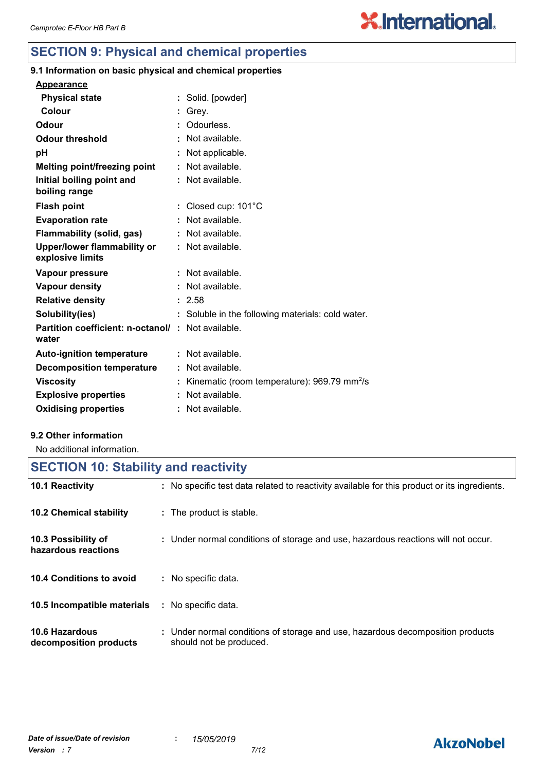## **SECTION 9: Physical and chemical properties**

## **9.1 Information on basic physical and chemical properties**

| <b>Physical state</b>                                             | : Solid. [powder]                                       |
|-------------------------------------------------------------------|---------------------------------------------------------|
| Colour                                                            | Grey.                                                   |
| Odour                                                             | Odourless.                                              |
| <b>Odour threshold</b>                                            | : Not available.                                        |
| рH                                                                | Not applicable.                                         |
| <b>Melting point/freezing point</b>                               | Not available.                                          |
| Initial boiling point and<br>boiling range                        | : Not available.                                        |
| <b>Flash point</b>                                                | : Closed cup: 101°C                                     |
| <b>Evaporation rate</b>                                           | Not available.                                          |
| <b>Flammability (solid, gas)</b>                                  | Not available.                                          |
| <b>Upper/lower flammability or</b><br>explosive limits            | : Not available.                                        |
| Vapour pressure                                                   | Not available.                                          |
| Vapour density                                                    | Not available.                                          |
| <b>Relative density</b>                                           | : 2.58                                                  |
| Solubility(ies)                                                   | Soluble in the following materials: cold water.         |
| <b>Partition coefficient: n-octanol/: Not available.</b><br>water |                                                         |
| <b>Auto-ignition temperature</b>                                  | : Not available.                                        |
| <b>Decomposition temperature</b>                                  | : Not available.                                        |
| <b>Viscosity</b>                                                  | Kinematic (room temperature): 969.79 mm <sup>2</sup> /s |
| <b>Explosive properties</b>                                       | Not available.                                          |
| <b>Oxidising properties</b>                                       | : Not available.                                        |

#### **9.2 Other information**

No additional information.

## **SECTION 10: Stability and reactivity**

| <b>10.1 Reactivity</b>                     | : No specific test data related to reactivity available for this product or its ingredients.              |
|--------------------------------------------|-----------------------------------------------------------------------------------------------------------|
| <b>10.2 Chemical stability</b>             | : The product is stable.                                                                                  |
| 10.3 Possibility of<br>hazardous reactions | : Under normal conditions of storage and use, hazardous reactions will not occur.                         |
| 10.4 Conditions to avoid                   | : No specific data.                                                                                       |
| 10.5 Incompatible materials                | : No specific data.                                                                                       |
| 10.6 Hazardous<br>decomposition products   | : Under normal conditions of storage and use, hazardous decomposition products<br>should not be produced. |

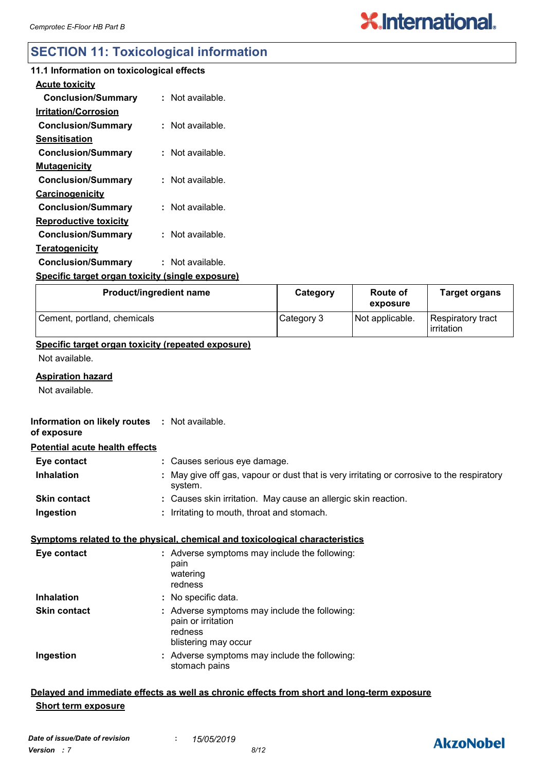## **SECTION 11: Toxicological information**

| 11.1 Information on toxicological effects               |                  |
|---------------------------------------------------------|------------------|
| <b>Acute toxicity</b>                                   |                  |
| <b>Conclusion/Summary</b>                               | : Not available. |
| <b>Irritation/Corrosion</b>                             |                  |
| <b>Conclusion/Summary</b>                               | : Not available. |
| Sensitisation                                           |                  |
| <b>Conclusion/Summary</b>                               | : Not available. |
| <u>Mutagenicity</u>                                     |                  |
| <b>Conclusion/Summary</b>                               | : Not available. |
| <b>Carcinogenicity</b>                                  |                  |
| <b>Conclusion/Summary</b>                               | : Not available. |
| <b>Reproductive toxicity</b>                            |                  |
| <b>Conclusion/Summary</b>                               | : Not available. |
| <b>Teratogenicity</b>                                   |                  |
| <b>Conclusion/Summary</b>                               | : Not available. |
| <u>Specific target organ toxicity (single exposure)</u> |                  |
|                                                         |                  |

| Product/ingredient name     | Category   | <b>Route of</b><br>exposure | <b>Target organs</b>                     |
|-----------------------------|------------|-----------------------------|------------------------------------------|
| Cement, portland, chemicals | Category 3 | Not applicable.             | Respiratory tract<br><b>l</b> irritation |

#### **Specific target organ toxicity (repeated exposure)**

Not available.

#### **Aspiration hazard**

Not available.

#### **Information on likely routes : Not available. of exposure**

#### **Potential acute health effects**

| Eye contact         | : Causes serious eye damage.                                                                          |
|---------------------|-------------------------------------------------------------------------------------------------------|
| <b>Inhalation</b>   | : May give off gas, vapour or dust that is very irritating or corrosive to the respiratory<br>system. |
| <b>Skin contact</b> | : Causes skin irritation. May cause an allergic skin reaction.                                        |
| Ingestion           | : Irritating to mouth, throat and stomach.                                                            |

#### **Symptoms related to the physical, chemical and toxicological characteristics**

| Eye contact         | : Adverse symptoms may include the following:<br>pain<br>watering<br>redness                           |
|---------------------|--------------------------------------------------------------------------------------------------------|
| <b>Inhalation</b>   | : No specific data.                                                                                    |
| <b>Skin contact</b> | : Adverse symptoms may include the following:<br>pain or irritation<br>redness<br>blistering may occur |
| Ingestion           | : Adverse symptoms may include the following:<br>stomach pains                                         |

#### **Delayed and immediate effects as well as chronic effects from short and long-term exposure Short term exposure**

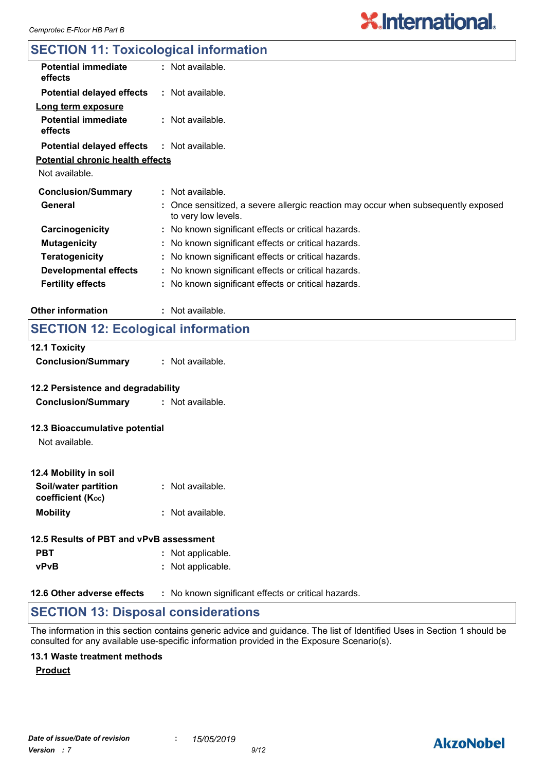## **SECTION 11: Toxicological information**

| <b>Potential immediate</b><br>effects   | $:$ Not available.                                                                                       |
|-----------------------------------------|----------------------------------------------------------------------------------------------------------|
| <b>Potential delayed effects</b>        | $:$ Not available.                                                                                       |
| Long term exposure                      |                                                                                                          |
| <b>Potential immediate</b><br>effects   | $:$ Not available.                                                                                       |
| <b>Potential delayed effects</b>        | $:$ Not available.                                                                                       |
| <b>Potential chronic health effects</b> |                                                                                                          |
| Not available.                          |                                                                                                          |
| <b>Conclusion/Summary</b>               | : Not available.                                                                                         |
| General                                 | : Once sensitized, a severe allergic reaction may occur when subsequently exposed<br>to very low levels. |
| Carcinogenicity                         | : No known significant effects or critical hazards.                                                      |
| <b>Mutagenicity</b>                     | : No known significant effects or critical hazards.                                                      |
| <b>Teratogenicity</b>                   | : No known significant effects or critical hazards.                                                      |
| <b>Developmental effects</b>            | : No known significant effects or critical hazards.                                                      |
| <b>Fertility effects</b>                | : No known significant effects or critical hazards.                                                      |
|                                         |                                                                                                          |

#### **Other information :** : Not available.

## **SECTION 12: Ecological information**

| <b>12.1 Toxicity</b><br><b>Conclusion/Summary</b>               | : Not available. |
|-----------------------------------------------------------------|------------------|
| 12.2 Persistence and degradability<br><b>Conclusion/Summary</b> | : Not available. |

#### **12.3 Bioaccumulative potential**

Not available.

| 12.4 Mobility in soil                     |                  |
|-------------------------------------------|------------------|
| Soil/water partition<br>coefficient (Koc) | : Not available. |
| <b>Mobility</b>                           | : Not available. |

| 12.5 Results of PBT and vPvB assessment |  |                   |  |
|-----------------------------------------|--|-------------------|--|
| <b>PBT</b>                              |  | : Not applicable. |  |
| <b>vPvB</b>                             |  | : Not applicable. |  |

**12.6 Other adverse effects** : No known significant effects or critical hazards.

## **SECTION 13: Disposal considerations**

The information in this section contains generic advice and guidance. The list of Identified Uses in Section 1 should be consulted for any available use-specific information provided in the Exposure Scenario(s).

#### **13.1 Waste treatment methods**

#### **Product**

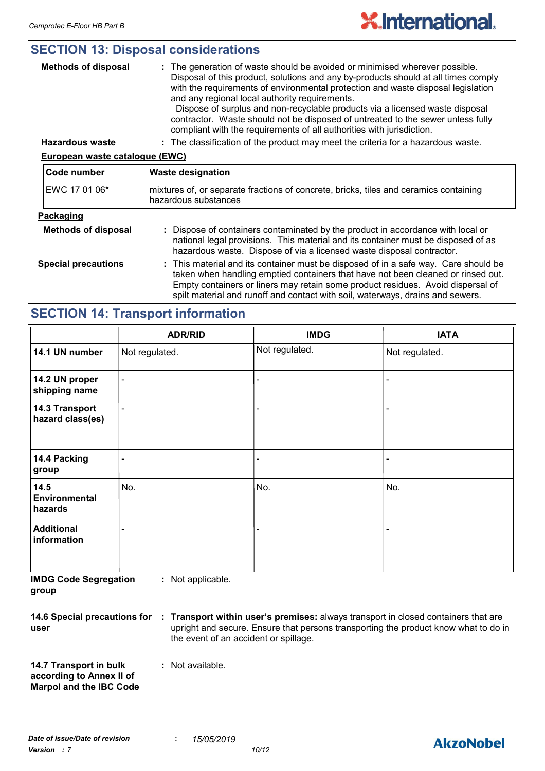|  | <b>SECTION 13: Disposal considerations</b> |
|--|--------------------------------------------|
|  |                                            |

| <b>Methods of disposal</b>     | : The generation of waste should be avoided or minimised wherever possible.<br>Disposal of this product, solutions and any by-products should at all times comply<br>with the requirements of environmental protection and waste disposal legislation<br>and any regional local authority requirements.<br>Dispose of surplus and non-recyclable products via a licensed waste disposal<br>contractor. Waste should not be disposed of untreated to the sewer unless fully<br>compliant with the requirements of all authorities with jurisdiction. |  |
|--------------------------------|-----------------------------------------------------------------------------------------------------------------------------------------------------------------------------------------------------------------------------------------------------------------------------------------------------------------------------------------------------------------------------------------------------------------------------------------------------------------------------------------------------------------------------------------------------|--|
| <b>Hazardous waste</b>         | : The classification of the product may meet the criteria for a hazardous waste.                                                                                                                                                                                                                                                                                                                                                                                                                                                                    |  |
| European waste catalogue (EWC) |                                                                                                                                                                                                                                                                                                                                                                                                                                                                                                                                                     |  |
| Code number                    | <b>Waste designation</b>                                                                                                                                                                                                                                                                                                                                                                                                                                                                                                                            |  |
| EWC 17 01 06*                  | mixtures of, or separate fractions of concrete, bricks, tiles and ceramics containing<br>hazardous substances                                                                                                                                                                                                                                                                                                                                                                                                                                       |  |
| <b>Dookoging</b>               |                                                                                                                                                                                                                                                                                                                                                                                                                                                                                                                                                     |  |

#### **Packaging**

| _______                    |                                                                                                                                                                                                                                                                                                                                              |
|----------------------------|----------------------------------------------------------------------------------------------------------------------------------------------------------------------------------------------------------------------------------------------------------------------------------------------------------------------------------------------|
| <b>Methods of disposal</b> | : Dispose of containers contaminated by the product in accordance with local or<br>national legal provisions. This material and its container must be disposed of as<br>hazardous waste. Dispose of via a licensed waste disposal contractor.                                                                                                |
| <b>Special precautions</b> | : This material and its container must be disposed of in a safe way. Care should be<br>taken when handling emptied containers that have not been cleaned or rinsed out.<br>Empty containers or liners may retain some product residues. Avoid dispersal of<br>spilt material and runoff and contact with soil, waterways, drains and sewers. |

## **SECTION 14: Transport information**

|                                                                | <b>ADR/RID</b>           | <b>IMDG</b>              | <b>IATA</b>    |  |
|----------------------------------------------------------------|--------------------------|--------------------------|----------------|--|
| 14.1 UN number                                                 | Not regulated.           | Not regulated.           | Not regulated. |  |
| 14.2 UN proper<br>shipping name                                | $\overline{\phantom{a}}$ | $\overline{\phantom{0}}$ |                |  |
| 14.3 Transport<br>$\overline{\phantom{0}}$<br>hazard class(es) |                          |                          |                |  |
| 14.4 Packing<br>group                                          | ۰                        |                          |                |  |
| 14.5<br>Environmental<br>hazards                               | No.                      | No.                      | No.            |  |
| <b>Additional</b><br>information                               | -                        |                          |                |  |

**IMDG Code Segregation group :** Not applicable.

**14.6 Special precautions for user Transport within user's premises:** always transport in closed containers that are **:** upright and secure. Ensure that persons transporting the product know what to do in the event of an accident or spillage.

**14.7 Transport in bulk according to Annex II of Marpol and the IBC Code :** Not available.

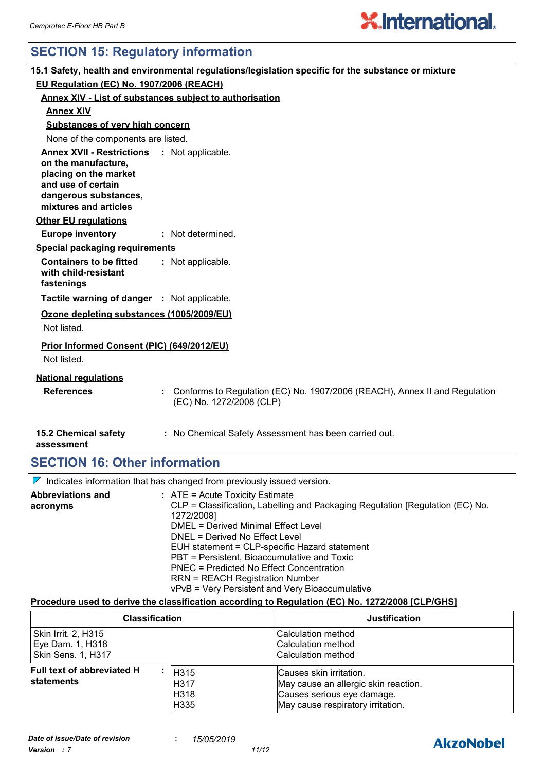## **SECTION 15: Regulatory information**

|                                                                                                                                                                     | 15.1 Safety, health and environmental regulations/legislation specific for the substance or mixture      |
|---------------------------------------------------------------------------------------------------------------------------------------------------------------------|----------------------------------------------------------------------------------------------------------|
| EU Regulation (EC) No. 1907/2006 (REACH)                                                                                                                            |                                                                                                          |
|                                                                                                                                                                     | <b>Annex XIV - List of substances subject to authorisation</b>                                           |
| <b>Annex XIV</b>                                                                                                                                                    |                                                                                                          |
| <b>Substances of very high concern</b>                                                                                                                              |                                                                                                          |
| None of the components are listed.                                                                                                                                  |                                                                                                          |
| Annex XVII - Restrictions : Not applicable.<br>on the manufacture,<br>placing on the market<br>and use of certain<br>dangerous substances,<br>mixtures and articles |                                                                                                          |
| <b>Other EU regulations</b>                                                                                                                                         |                                                                                                          |
| <b>Europe inventory</b>                                                                                                                                             | : Not determined.                                                                                        |
| Special packaging requirements                                                                                                                                      |                                                                                                          |
| <b>Containers to be fitted</b><br>with child-resistant<br>fastenings                                                                                                | : Not applicable.                                                                                        |
| Tactile warning of danger : Not applicable.                                                                                                                         |                                                                                                          |
| Ozone depleting substances (1005/2009/EU)<br>Not listed.                                                                                                            |                                                                                                          |
| Prior Informed Consent (PIC) (649/2012/EU)<br>Not listed.                                                                                                           |                                                                                                          |
| <b>National requlations</b><br><b>References</b>                                                                                                                    | : Conforms to Regulation (EC) No. 1907/2006 (REACH), Annex II and Regulation<br>(EC) No. 1272/2008 (CLP) |
| <b>15.2 Chemical safety</b><br>assessment                                                                                                                           | : No Chemical Safety Assessment has been carried out.                                                    |
| <b>SECTION 16: Other information</b>                                                                                                                                |                                                                                                          |

 $\nabla$  Indicates information that has changed from previously issued version.

| <b>Abbreviations and</b><br>acronyms | $:$ ATE = Acute Toxicity Estimate<br>CLP = Classification, Labelling and Packaging Regulation [Regulation (EC) No.<br>1272/2008] |
|--------------------------------------|----------------------------------------------------------------------------------------------------------------------------------|
|                                      | DMEL = Derived Minimal Effect Level                                                                                              |
|                                      | DNEL = Derived No Effect Level                                                                                                   |
|                                      | EUH statement = CLP-specific Hazard statement                                                                                    |
|                                      | PBT = Persistent, Bioaccumulative and Toxic                                                                                      |
|                                      | PNEC = Predicted No Effect Concentration                                                                                         |
|                                      | <b>RRN = REACH Registration Number</b>                                                                                           |
|                                      | vPvB = Very Persistent and Very Bioaccumulative                                                                                  |

#### **Procedure used to derive the classification according to Regulation (EC) No. 1272/2008 [CLP/GHS]**

| <b>Classification</b>                                                                                        |  | <b>Justification</b>                                                                                                               |
|--------------------------------------------------------------------------------------------------------------|--|------------------------------------------------------------------------------------------------------------------------------------|
| Skin Irrit. 2, H315<br>Eye Dam. 1, H318<br><b>Skin Sens. 1, H317</b>                                         |  | ICalculation method<br>Calculation method<br><b>Calculation method</b>                                                             |
| Full text of abbreviated H<br>H <sub>315</sub><br>statements<br>H <sub>317</sub><br>H318<br>H <sub>335</sub> |  | Causes skin irritation.<br>May cause an allergic skin reaction.<br>Causes serious eye damage.<br>May cause respiratory irritation. |

## **AkzoNobel**